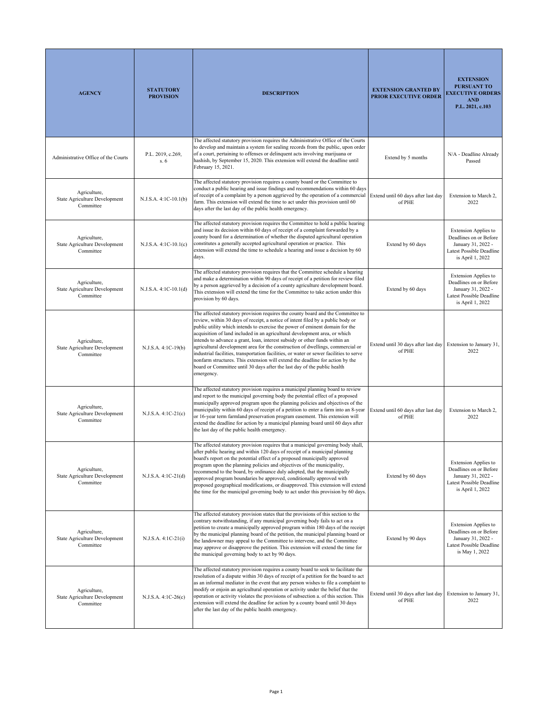| <b>AGENCY</b>                                              | <b>STATUTORY</b><br><b>PROVISION</b> | <b>DESCRIPTION</b>                                                                                                                                                                                                                                                                                                                                                                                                                                                                                                                                                                                                                                                                                                                                                      | <b>EXTENSION GRANTED BY</b><br><b>PRIOR EXECUTIVE ORDER</b>            | <b>EXTENSION</b><br><b>PURSUANT TO</b><br><b>EXECUTIVE ORDERS</b><br><b>AND</b><br>P.L. 2021, c.103                         |
|------------------------------------------------------------|--------------------------------------|-------------------------------------------------------------------------------------------------------------------------------------------------------------------------------------------------------------------------------------------------------------------------------------------------------------------------------------------------------------------------------------------------------------------------------------------------------------------------------------------------------------------------------------------------------------------------------------------------------------------------------------------------------------------------------------------------------------------------------------------------------------------------|------------------------------------------------------------------------|-----------------------------------------------------------------------------------------------------------------------------|
| Administrative Office of the Courts                        | P.L. 2019, c.269,<br>s. 6            | The affected statutory provision requires the Administrative Office of the Courts<br>to develop and maintain a system for sealing records from the public, upon order<br>of a court, pertaining to offenses or delinquent acts involving marijuana or<br>hashish, by September 15, 2020. This extension will extend the deadline until<br>February 15, 2021.                                                                                                                                                                                                                                                                                                                                                                                                            | Extend by 5 months                                                     | N/A - Deadline Already<br>Passed                                                                                            |
| Agriculture,<br>State Agriculture Development<br>Committee | N.J.S.A. 4:1C-10.1(b)                | The affected statutory provision requires a county board or the Committee to<br>conduct a public hearing and issue findings and recommendations within 60 days<br>of receipt of a complaint by a person aggrieved by the operation of a commercial Extend until 60 days after last day<br>farm. This extension will extend the time to act under this provision until 60<br>days after the last day of the public health emergency.                                                                                                                                                                                                                                                                                                                                     | of PHE                                                                 | Extension to March 2,<br>2022                                                                                               |
| Agriculture,<br>State Agriculture Development<br>Committee | N.J.S.A. 4:1C-10.1(c)                | The affected statutory provision requires the Committee to hold a public hearing<br>and issue its decision within 60 days of receipt of a complaint forwarded by a<br>county board for a determination of whether the disputed agricultural operation<br>constitutes a generally accepted agricultural operation or practice. This<br>extension will extend the time to schedule a hearing and issue a decision by 60<br>days.                                                                                                                                                                                                                                                                                                                                          | Extend by 60 days                                                      | <b>Extension Applies to</b><br>Deadlines on or Before<br>January 31, 2022 -<br>Latest Possible Deadline<br>is April 1, 2022 |
| Agriculture,<br>State Agriculture Development<br>Committee | N.J.S.A. 4:1C-10.1(d)                | The affected statutory provision requires that the Committee schedule a hearing<br>and make a determination within 90 days of receipt of a petition for review filed<br>by a person aggrieved by a decision of a county agriculture development board.<br>This extension will extend the time for the Committee to take action under this<br>provision by 60 days.                                                                                                                                                                                                                                                                                                                                                                                                      | Extend by 60 days                                                      | <b>Extension Applies to</b><br>Deadlines on or Before<br>January 31, 2022 -<br>Latest Possible Deadline<br>is April 1, 2022 |
| Agriculture,<br>State Agriculture Development<br>Committee | N.J.S.A. 4:1C-19(b)                  | The affected statutory provision requires the county board and the Committee to<br>review, within 30 days of receipt, a notice of intent filed by a public body or<br>public utility which intends to exercise the power of eminent domain for the<br>acquisition of land included in an agricultural development area, or which<br>intends to advance a grant, loan, interest subsidy or other funds within an<br>agricultural development area for the construction of dwellings, commercial or<br>industrial facilities, transportation facilities, or water or sewer facilities to serve<br>nonfarm structures. This extension will extend the deadline for action by the<br>board or Committee until 30 days after the last day of the public health<br>emergency. | Extend until 30 days after last day<br>of PHE                          | Extension to January 31,<br>2022                                                                                            |
| Agriculture,<br>State Agriculture Development<br>Committee | N.J.S.A. 4:1C-21(c)                  | The affected statutory provision requires a municipal planning board to review<br>and report to the municipal governing body the potential effect of a proposed<br>municipally approved program upon the planning policies and objectives of the<br>municipality within 60 days of receipt of a petition to enter a farm into an 8-year<br>or 16-year term farmland preservation program easement. This extension will<br>extend the deadline for action by a municipal planning board until 60 days after<br>the last day of the public health emergency.                                                                                                                                                                                                              | Extend until 60 days after last day<br>of PHE                          | Extension to March 2,<br>2022                                                                                               |
| Agriculture,<br>State Agriculture Development<br>Committee | N.J.S.A. 4:1C-21(d)                  | The affected statutory provision requires that a municipal governing body shall,<br>after public hearing and within 120 days of receipt of a municipal planning<br>board's report on the potential effect of a proposed municipally approved<br>program upon the planning policies and objectives of the municipality,<br>recommend to the board, by ordinance duly adopted, that the municipally<br>approved program boundaries be approved, conditionally approved with<br>proposed geographical modifications, or disapproved. This extension will extend<br>the time for the municipal governing body to act under this provision by 60 days.                                                                                                                       | Extend by 60 days                                                      | <b>Extension Applies to</b><br>Deadlines on or Before<br>January 31, 2022 -<br>Latest Possible Deadline<br>is April 1, 2022 |
| Agriculture,<br>State Agriculture Development<br>Committee | N.J.S.A. 4:1C-21(i)                  | The affected statutory provision states that the provisions of this section to the<br>contrary notwithstanding, if any municipal governing body fails to act on a<br>petition to create a municipally approved program within 180 days of the receipt<br>by the municipal planning board of the petition, the municipal planning board or<br>the landowner may appeal to the Committee to intervene, and the Committee<br>may approve or disapprove the petition. This extension will extend the time for<br>the municipal governing body to act by 90 days.                                                                                                                                                                                                            | Extend by 90 days                                                      | <b>Extension Applies to</b><br>Deadlines on or Before<br>January 31, 2022 -<br>Latest Possible Deadline<br>is May 1, 2022   |
| Agriculture,<br>State Agriculture Development<br>Committee | $N.J.S.A. 4:1C-26(c)$                | The affected statutory provision requires a county board to seek to facilitate the<br>resolution of a dispute within 30 days of receipt of a petition for the board to act<br>as an informal mediator in the event that any person wishes to file a complaint to<br>modify or enjoin an agricultural operation or activity under the belief that the<br>operation or activity violates the provisions of subsection a. of this section. This<br>extension will extend the deadline for action by a county board until 30 days<br>after the last day of the public health emergency.                                                                                                                                                                                     | Extend until 30 days after last day Extension to January 31,<br>of PHE | 2022                                                                                                                        |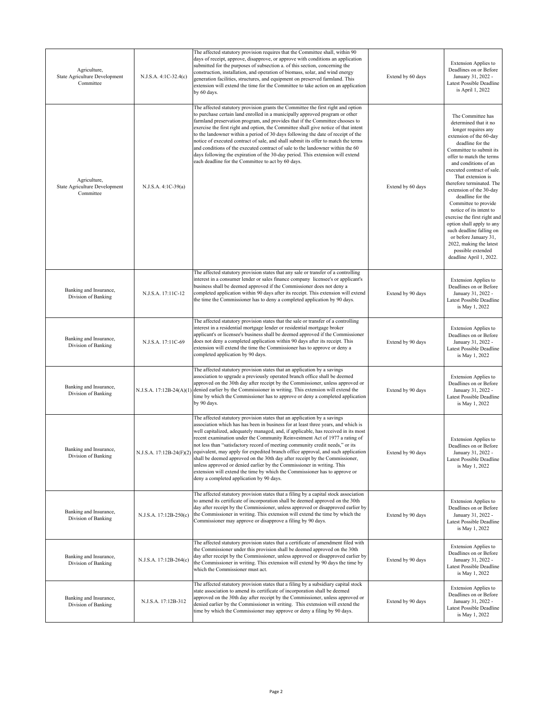| Agriculture,<br>State Agriculture Development<br>Committee | N.J.S.A. 4:1C-32.4(c)    | The affected statutory provision requires that the Committee shall, within 90<br>days of receipt, approve, disapprove, or approve with conditions an application<br>submitted for the purposes of subsection a. of this section, concerning the<br>construction, installation, and operation of biomass, solar, and wind energy<br>generation facilities, structures, and equipment on preserved farmland. This<br>extension will extend the time for the Committee to take action on an application<br>by 60 days.                                                                                                                                                                                                                                                                        | Extend by 60 days | <b>Extension Applies to</b><br>Deadlines on or Before<br>January 31, 2022 -<br>Latest Possible Deadline<br>is April 1, 2022                                                                                                                                                                                                                                                                                                                                                                                                                                                    |
|------------------------------------------------------------|--------------------------|--------------------------------------------------------------------------------------------------------------------------------------------------------------------------------------------------------------------------------------------------------------------------------------------------------------------------------------------------------------------------------------------------------------------------------------------------------------------------------------------------------------------------------------------------------------------------------------------------------------------------------------------------------------------------------------------------------------------------------------------------------------------------------------------|-------------------|--------------------------------------------------------------------------------------------------------------------------------------------------------------------------------------------------------------------------------------------------------------------------------------------------------------------------------------------------------------------------------------------------------------------------------------------------------------------------------------------------------------------------------------------------------------------------------|
| Agriculture,<br>State Agriculture Development<br>Committee | N.J.S.A. 4:1C-39(a)      | The affected statutory provision grants the Committee the first right and option<br>to purchase certain land enrolled in a municipally approved program or other<br>farmland preservation program, and provides that if the Committee chooses to<br>exercise the first right and option, the Committee shall give notice of that intent<br>to the landowner within a period of 30 days following the date of receipt of the<br>notice of executed contract of sale, and shall submit its offer to match the terms<br>and conditions of the executed contract of sale to the landowner within the 60<br>days following the expiration of the 30-day period. This extension will extend<br>each deadline for the Committee to act by 60 days.                                                | Extend by 60 days | The Committee has<br>determined that it no<br>longer requires any<br>extension of the 60-day<br>deadline for the<br>Committee to submit its<br>offer to match the terms<br>and conditions of an<br>executed contract of sale.<br>That extension is<br>therefore terminated. The<br>extension of the 30-day<br>deadline for the<br>Committee to provide<br>notice of its intent to<br>exercise the first right and<br>option shall apply to any<br>such deadline falling on<br>or before January 31,<br>2022, making the latest<br>possible extended<br>deadline April 1, 2022. |
| Banking and Insurance,<br>Division of Banking              | N.J.S.A. 17:11C-12       | The affected statutory provision states that any sale or transfer of a controlling<br>interest in a consumer lender or sales finance company licensee's or applicant's<br>business shall be deemed approved if the Commissioner does not deny a<br>completed application within 90 days after its receipt. This extension will extend<br>the time the Commissioner has to deny a completed application by 90 days.                                                                                                                                                                                                                                                                                                                                                                         | Extend by 90 days | <b>Extension Applies to</b><br>Deadlines on or Before<br>January 31, 2022 -<br>Latest Possible Deadline<br>is May 1, 2022                                                                                                                                                                                                                                                                                                                                                                                                                                                      |
| Banking and Insurance,<br>Division of Banking              | N.J.S.A. 17:11C-69       | The affected statutory provision states that the sale or transfer of a controlling<br>interest in a residential mortgage lender or residential mortgage broker<br>applicant's or licensee's business shall be deemed approved if the Commissioner<br>does not deny a completed application within 90 days after its receipt. This<br>extension will extend the time the Commissioner has to approve or deny a<br>completed application by 90 days.                                                                                                                                                                                                                                                                                                                                         | Extend by 90 days | <b>Extension Applies to</b><br>Deadlines on or Before<br>January 31, 2022 -<br>Latest Possible Deadline<br>is May 1, 2022                                                                                                                                                                                                                                                                                                                                                                                                                                                      |
| Banking and Insurance,<br>Division of Banking              | N.J.S.A. 17:12B-24(A)(1) | The affected statutory provision states that an application by a savings<br>association to upgrade a previously operated branch office shall be deemed<br>approved on the 30th day after receipt by the Commissioner, unless approved or<br>denied earlier by the Commissioner in writing. This extension will extend the<br>time by which the Commissioner has to approve or deny a completed application<br>by 90 days.                                                                                                                                                                                                                                                                                                                                                                  | Extend by 90 days | <b>Extension Applies to</b><br>Deadlines on or Before<br>January 31, 2022 -<br>Latest Possible Deadline<br>is May 1, 2022                                                                                                                                                                                                                                                                                                                                                                                                                                                      |
| Banking and Insurance,<br>Division of Banking              | N.J.S.A. 17:12B-24(F)(2) | The affected statutory provision states that an application by a savings<br>association which has has been in business for at least three years, and which is<br>well capitalized, adequately managed, and, if applicable, has received in its most<br>recent examination under the Community Reinvestment Act of 1977 a rating of<br>not less than "satisfactory record of meeting community credit needs," or its<br>equivalent, may apply for expedited branch office approval, and such application<br>shall be deemed approved on the 30th day after receipt by the Commissioner,<br>unless approved or denied earlier by the Commissioner in writing. This<br>extension will extend the time by which the Commissioner has to approve or<br>deny a completed application by 90 days. | Extend by 90 days | <b>Extension Applies to</b><br>Deadlines on or Before<br>January 31, 2022 -<br>Latest Possible Deadline<br>is May 1, 2022                                                                                                                                                                                                                                                                                                                                                                                                                                                      |
| Banking and Insurance,<br>Division of Banking              | N.J.S.A. 17:12B-250(c)   | The affected statutory provision states that a filing by a capital stock association<br>to amend its certificate of incorporation shall be deemed approved on the 30th<br>day after receipt by the Commissioner, unless approved or disapproved earlier by<br>the Commissioner in writing. This extension will extend the time by which the<br>Commissioner may approve or disapprove a filing by 90 days.                                                                                                                                                                                                                                                                                                                                                                                 | Extend by 90 days | <b>Extension Applies to</b><br>Deadlines on or Before<br>January 31, 2022 -<br>Latest Possible Deadline<br>is May 1, 2022                                                                                                                                                                                                                                                                                                                                                                                                                                                      |
| Banking and Insurance,<br>Division of Banking              | N.J.S.A. 17:12B-264(c)   | The affected statutory provision states that a certificate of amendment filed with<br>the Commissioner under this provision shall be deemed approved on the 30th<br>day after receipt by the Commissioner, unless approved or disapproved earlier by<br>the Commissioner in writing. This extension will extend by 90 days the time by<br>which the Commissioner must act.                                                                                                                                                                                                                                                                                                                                                                                                                 | Extend by 90 days | <b>Extension Applies to</b><br>Deadlines on or Before<br>January 31, 2022 -<br>Latest Possible Deadline<br>is May 1, 2022                                                                                                                                                                                                                                                                                                                                                                                                                                                      |
| Banking and Insurance,<br>Division of Banking              | N.J.S.A. 17:12B-312      | The affected statutory provision states that a filing by a subsidiary capital stock<br>state association to amend its certificate of incorporation shall be deemed<br>approved on the 30th day after receipt by the Commissioner, unless approved or<br>denied earlier by the Commissioner in writing. This extension will extend the<br>time by which the Commissioner may approve or deny a filing by 90 days.                                                                                                                                                                                                                                                                                                                                                                           | Extend by 90 days | <b>Extension Applies to</b><br>Deadlines on or Before<br>January 31, 2022 -<br>Latest Possible Deadline<br>is May 1, 2022                                                                                                                                                                                                                                                                                                                                                                                                                                                      |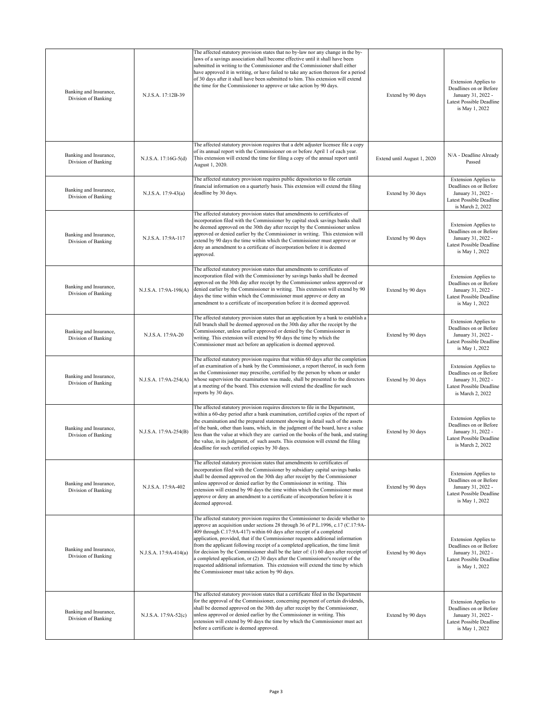| Banking and Insurance,<br>Division of Banking | N.J.S.A. 17:12B-39    | The affected statutory provision states that no by-law nor any change in the by-<br>laws of a savings association shall become effective until it shall have been<br>submitted in writing to the Commissioner and the Commissioner shall either<br>have approved it in writing, or have failed to take any action thereon for a period<br>of 30 days after it shall have been submitted to him. This extension will extend<br>the time for the Commissioner to approve or take action by 90 days.                                                                                                                                                                                                                              | Extend by 90 days           | <b>Extension Applies to</b><br>Deadlines on or Before<br>January 31, 2022 -<br>Latest Possible Deadline<br>is May 1, 2022   |
|-----------------------------------------------|-----------------------|--------------------------------------------------------------------------------------------------------------------------------------------------------------------------------------------------------------------------------------------------------------------------------------------------------------------------------------------------------------------------------------------------------------------------------------------------------------------------------------------------------------------------------------------------------------------------------------------------------------------------------------------------------------------------------------------------------------------------------|-----------------------------|-----------------------------------------------------------------------------------------------------------------------------|
| Banking and Insurance,<br>Division of Banking | N.J.S.A. 17:16G-5(d)  | The affected statutory provision requires that a debt adjuster licensee file a copy<br>of its annual report with the Commissioner on or before April 1 of each year.<br>This extension will extend the time for filing a copy of the annual report until<br>August 1, 2020.                                                                                                                                                                                                                                                                                                                                                                                                                                                    | Extend until August 1, 2020 | N/A - Deadline Already<br>Passed                                                                                            |
| Banking and Insurance,<br>Division of Banking | N.J.S.A. 17:9-43(a)   | The affected statutory provision requires public depositories to file certain<br>financial information on a quarterly basis. This extension will extend the filing<br>deadline by 30 days.                                                                                                                                                                                                                                                                                                                                                                                                                                                                                                                                     | Extend by 30 days           | <b>Extension Applies to</b><br>Deadlines on or Before<br>January 31, 2022 -<br>Latest Possible Deadline<br>is March 2, 2022 |
| Banking and Insurance,<br>Division of Banking | N.J.S.A. 17:9A-117    | The affected statutory provision states that amendments to certificates of<br>incorporation filed with the Commissioner by capital stock savings banks shall<br>be deemed approved on the 30th day after receipt by the Commissioner unless<br>approved or denied earlier by the Commissioner in writing. This extension will<br>extend by 90 days the time within which the Commissioner must approve or<br>deny an amendment to a certificate of incorporation before it is deemed<br>approved.                                                                                                                                                                                                                              | Extend by 90 days           | <b>Extension Applies to</b><br>Deadlines on or Before<br>January 31, 2022 -<br>Latest Possible Deadline<br>is May 1, 2022   |
| Banking and Insurance,<br>Division of Banking | N.J.S.A. 17:9A-198(A) | The affected statutory provision states that amendments to certificates of<br>incorporation filed with the Commissioner by savings banks shall be deemed<br>approved on the 30th day after receipt by the Commissioner unless approved or<br>denied earlier by the Commissioner in writing. This extension will extend by 90<br>days the time within which the Commissioner must approve or deny an<br>amendment to a certificate of incorporation before it is deemed approved.                                                                                                                                                                                                                                               | Extend by 90 days           | <b>Extension Applies to</b><br>Deadlines on or Before<br>January 31, 2022 -<br>Latest Possible Deadline<br>is May 1, 2022   |
| Banking and Insurance,<br>Division of Banking | N.J.S.A. 17:9A-20     | The affected statutory provision states that an application by a bank to establish a<br>full branch shall be deemed approved on the 30th day after the receipt by the<br>Commissioner, unless earlier approved or denied by the Commissioner in<br>writing. This extension will extend by 90 days the time by which the<br>Commissioner must act before an application is deemed approved.                                                                                                                                                                                                                                                                                                                                     | Extend by 90 days           | <b>Extension Applies to</b><br>Deadlines on or Before<br>January 31, 2022 -<br>Latest Possible Deadline<br>is May 1, 2022   |
| Banking and Insurance,<br>Division of Banking | N.J.S.A. 17:9A-254(A) | The affected statutory provision requires that within 60 days after the completion<br>of an examination of a bank by the Commissioner, a report thereof, in such form<br>as the Commissioner may prescribe, certified by the person by whom or under<br>whose supervision the examination was made, shall be presented to the directors<br>at a meeting of the board. This extension will extend the deadline for such<br>reports by 30 days.                                                                                                                                                                                                                                                                                  | Extend by 30 days           | <b>Extension Applies to</b><br>Deadlines on or Before<br>January 31, 2022 -<br>Latest Possible Deadline<br>is March 2, 2022 |
| Banking and Insurance,<br>Division of Banking | N.J.S.A. 17:9A-254(B) | The affected statutory provision requires directors to file in the Department,<br>within a 60-day period after a bank examination, certified copies of the report of<br>the examination and the prepared statement showing in detail such of the assets<br>of the bank, other than loans, which, in the judgment of the board, have a value<br>less than the value at which they are carried on the books of the bank, and stating<br>the value, in its judgment, of such assets. This extension will extend the filing<br>deadline for such certified copies by 30 days.                                                                                                                                                      | Extend by 30 days           | <b>Extension Applies to</b><br>Deadlines on or Before<br>January 31, 2022 -<br>Latest Possible Deadline<br>is March 2, 2022 |
| Banking and Insurance,<br>Division of Banking | N.J.S.A. 17:9A-402    | The affected statutory provision states that amendments to certificates of<br>incorporation filed with the Commissioner by subsidiary capital savings banks<br>shall be deemed approved on the 30th day after receipt by the Commissioner<br>unless approved or denied earlier by the Commissioner in writing. This<br>extension will extend by 90 days the time within which the Commissioner must<br>approve or deny an amendment to a certificate of incorporation before it is<br>deemed approved.                                                                                                                                                                                                                         | Extend by 90 days           | <b>Extension Applies to</b><br>Deadlines on or Before<br>January 31, 2022 -<br>Latest Possible Deadline<br>is May 1, 2022   |
| Banking and Insurance,<br>Division of Banking | N.J.S.A. 17:9A-414(a) | The affected statutory provision requires the Commissioner to decide whether to<br>approve an acquisition under sections 28 through 36 of P.L.1996, c.17 (C.17:9A-<br>409 through C.17:9A-417) within 60 days after receipt of a completed<br>application, provided, that if the Commissioner requests additional information<br>from the applicant following receipt of a completed application, the time limit<br>for decision by the Commissioner shall be the later of: (1) 60 days after receipt of<br>a completed application, or (2) 30 days after the Commissioner's receipt of the<br>requested additional information. This extension will extend the time by which<br>the Commissioner must take action by 90 days. | Extend by 90 days           | <b>Extension Applies to</b><br>Deadlines on or Before<br>January 31, 2022 -<br>Latest Possible Deadline<br>is May 1, 2022   |
| Banking and Insurance,<br>Division of Banking | N.J.S.A. 17:9A-52(c)  | The affected statutory provision states that a certificate filed in the Department<br>for the approval of the Commissioner, concerning payment of certain dividends,<br>shall be deemed approved on the 30th day after receipt by the Commissioner,<br>unless approved or denied earlier by the Commissioner in writing. This<br>extension will extend by 90 days the time by which the Commissioner must act<br>before a certificate is deemed approved.                                                                                                                                                                                                                                                                      | Extend by 90 days           | <b>Extension Applies to</b><br>Deadlines on or Before<br>January 31, 2022 -<br>Latest Possible Deadline<br>is May 1, 2022   |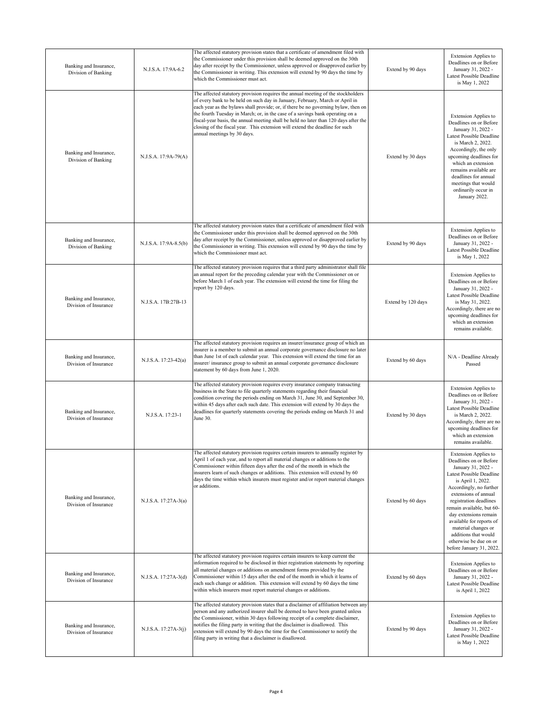| Banking and Insurance,<br>Division of Banking   | N.J.S.A. 17:9A-6.2    | The affected statutory provision states that a certificate of amendment filed with<br>the Commissioner under this provision shall be deemed approved on the 30th<br>day after receipt by the Commissioner, unless approved or disapproved earlier by<br>the Commissioner in writing. This extension will extend by 90 days the time by<br>which the Commissioner must act.                                                                                                                                                                     | Extend by 90 days  | <b>Extension Applies to</b><br>Deadlines on or Before<br>January 31, 2022 -<br>Latest Possible Deadline<br>is May 1, 2022                                                                                                                                                                                                                                                                 |
|-------------------------------------------------|-----------------------|------------------------------------------------------------------------------------------------------------------------------------------------------------------------------------------------------------------------------------------------------------------------------------------------------------------------------------------------------------------------------------------------------------------------------------------------------------------------------------------------------------------------------------------------|--------------------|-------------------------------------------------------------------------------------------------------------------------------------------------------------------------------------------------------------------------------------------------------------------------------------------------------------------------------------------------------------------------------------------|
| Banking and Insurance,<br>Division of Banking   | N.J.S.A. 17:9A-79(A)  | The affected statutory provision requires the annual meeting of the stockholders<br>of every bank to be held on such day in January, February, March or April in<br>each year as the bylaws shall provide; or, if there be no governing bylaw, then on<br>the fourth Tuesday in March; or, in the case of a savings bank operating on a<br>fiscal-year basis, the annual meeting shall be held no later than 120 days after the<br>closing of the fiscal year. This extension will extend the deadline for such<br>annual meetings by 30 days. | Extend by 30 days  | <b>Extension Applies to</b><br>Deadlines on or Before<br>January 31, 2022 -<br>Latest Possible Deadline<br>is March 2, 2022.<br>Accordingly, the only<br>upcoming deadlines for<br>which an extension<br>remains available are<br>deadlines for annual<br>meetings that would<br>ordinarily occur in<br>January 2022.                                                                     |
| Banking and Insurance,<br>Division of Banking   | N.J.S.A. 17:9A-8.5(b) | The affected statutory provision states that a certificate of amendment filed with<br>the Commissioner under this provision shall be deemed approved on the 30th<br>day after receipt by the Commissioner, unless approved or disapproved earlier by<br>the Commissioner in writing. This extension will extend by 90 days the time by<br>which the Commissioner must act.                                                                                                                                                                     | Extend by 90 days  | <b>Extension Applies to</b><br>Deadlines on or Before<br>January 31, 2022 -<br>Latest Possible Deadline<br>is May 1, 2022                                                                                                                                                                                                                                                                 |
| Banking and Insurance,<br>Division of Insurance | N.J.S.A. 17B:27B-13   | The affected statutory provision requires that a third party administrator shall file<br>an annual report for the preceding calendar year with the Commissioner on or<br>before March 1 of each year. The extension will extend the time for filing the<br>report by 120 days.                                                                                                                                                                                                                                                                 | Extend by 120 days | <b>Extension Applies to</b><br>Deadlines on or Before<br>January 31, 2022 -<br>Latest Possible Deadline<br>is May 31, 2022.<br>Accordingly, there are no<br>upcoming deadlines for<br>which an extension<br>remains available.                                                                                                                                                            |
| Banking and Insurance,<br>Division of Insurance | N.J.S.A. 17:23-42(a)  | The affected statutory provision requires an insurer/insurance group of which an<br>insurer is a member to submit an annual corporate governance disclosure no later<br>than June 1st of each calendar year. This extension will extend the time for an<br>insurer/insurance group to submit an annual corporate governance disclosure<br>statement by 60 days from June 1, 2020.                                                                                                                                                              | Extend by 60 days  | N/A - Deadline Already<br>Passed                                                                                                                                                                                                                                                                                                                                                          |
| Banking and Insurance,<br>Division of Insurance | N.J.S.A. 17:23-1      | The affected statutory provision requires every insurance company transacting<br>business in the State to file quarterly statements regarding their financial<br>condition covering the periods ending on March 31, June 30, and September 30,<br>within 45 days after each such date. This extension will extend by 30 days the<br>deadlines for quarterly statements covering the periods ending on March 31 and<br>June 30.                                                                                                                 | Extend by 30 days  | Extension Applies to<br>Deadlines on or Before<br>January 31, 2022 -<br>Latest Possible Deadline<br>is March 2, 2022.<br>Accordingly, there are no<br>upcoming deadlines for<br>which an extension<br>remains available.                                                                                                                                                                  |
| Banking and Insurance,<br>Division of Insurance | N.J.S.A. 17:27A-3(a)  | The affected statutory provision requires certain insurers to annually register by<br>April 1 of each year, and to report all material changes or additions to the<br>Commissioner within fifteen days after the end of the month in which the<br>insurers learn of such changes or additions. This extension will extend by 60<br>days the time within which insurers must register and/or report material changes<br>or additions.                                                                                                           | Extend by 60 days  | Extension Applies to<br>Deadlines on or Before<br>January 31, 2022 -<br>Latest Possible Deadline<br>is April 1, 2022.<br>Accordingly, no further<br>extensions of annual<br>registration deadlines<br>remain available, but 60-<br>day extensions remain<br>available for reports of<br>material changes or<br>additions that would<br>otherwise be due on or<br>before January 31, 2022. |
| Banking and Insurance,<br>Division of Insurance | N.J.S.A. 17:27A-3(d)  | The affected statutory provision requires certain insurers to keep current the<br>information required to be disclosed in thier registration statements by reporting<br>all material changes or additions on amendment forms provided by the<br>Commissioner within 15 days after the end of the month in which it learns of<br>each such change or addition. This extension will extend by 60 days the time<br>within which insurers must report material changes or additions.                                                               | Extend by 60 days  | <b>Extension Applies to</b><br>Deadlines on or Before<br>January 31, 2022 -<br>Latest Possible Deadline<br>is April 1, 2022                                                                                                                                                                                                                                                               |
| Banking and Insurance,<br>Division of Insurance | N.J.S.A. 17:27A-3(j)  | The affected statutory provision states that a disclaimer of affiliation between any<br>person and any authorized insurer shall be deemed to have been granted unless<br>the Commissioner, within 30 days following receipt of a complete disclaimer,<br>notifies the filing party in writing that the disclaimer is disallowed. This<br>extension will extend by 90 days the time for the Commissioner to notify the<br>filing party in writing that a disclaimer is disallowed.                                                              | Extend by 90 days  | <b>Extension Applies to</b><br>Deadlines on or Before<br>January 31, 2022 -<br>Latest Possible Deadline<br>is May 1, 2022                                                                                                                                                                                                                                                                 |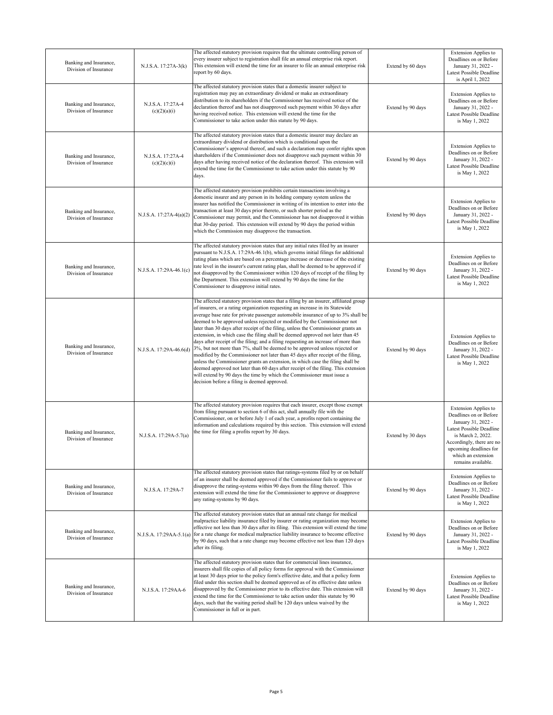| Banking and Insurance,<br>Division of Insurance | N.J.S.A. 17:27A-3(k)              | The affected statutory provision requires that the ultimate controlling person of<br>every insurer subject to registration shall file an annual enterprise risk report.<br>This extension will extend the time for an insurer to file an annual enterprise risk<br>report by 60 days.                                                                                                                                                                                                                                                                                                                                                                                                                                                                                                                                                                                                                                                                                                                                                                                      | Extend by 60 days | <b>Extension Applies to</b><br>Deadlines on or Before<br>January 31, 2022 -<br>Latest Possible Deadline<br>is April 1, 2022                                                                                              |
|-------------------------------------------------|-----------------------------------|----------------------------------------------------------------------------------------------------------------------------------------------------------------------------------------------------------------------------------------------------------------------------------------------------------------------------------------------------------------------------------------------------------------------------------------------------------------------------------------------------------------------------------------------------------------------------------------------------------------------------------------------------------------------------------------------------------------------------------------------------------------------------------------------------------------------------------------------------------------------------------------------------------------------------------------------------------------------------------------------------------------------------------------------------------------------------|-------------------|--------------------------------------------------------------------------------------------------------------------------------------------------------------------------------------------------------------------------|
| Banking and Insurance,<br>Division of Insurance | N.J.S.A. 17:27A-4<br>(c)(2)(a)(i) | The affected statutory provision states that a domestic insurer subject to<br>egistration may pay an extraordinary dividend or make an extraordinary<br>distribution to its shareholders if the Commissioner has received notice of the<br>declaration thereof and has not disapproved such payment within 30 days after<br>having received notice. This extension will extend the time for the<br>Commissioner to take action under this statute by 90 days.                                                                                                                                                                                                                                                                                                                                                                                                                                                                                                                                                                                                              | Extend by 90 days | <b>Extension Applies to</b><br>Deadlines on or Before<br>January 31, 2022 -<br>Latest Possible Deadline<br>is May 1, 2022                                                                                                |
| Banking and Insurance,<br>Division of Insurance | N.J.S.A. 17:27A-4<br>(c)(2)(c)(i) | The affected statutory provision states that a domestic insurer may declare an<br>extraordinary dividend or distribution which is conditional upon the<br>Commissioner's approval thereof, and such a declaration may confer rights upon<br>shareholders if the Commissioner does not disapprove such payment within 30<br>days after having received notice of the declaration thereof. This extension will<br>extend the time for the Commissioner to take action under this statute by 90<br>days.                                                                                                                                                                                                                                                                                                                                                                                                                                                                                                                                                                      | Extend by 90 days | <b>Extension Applies to</b><br>Deadlines on or Before<br>January 31, 2022 -<br>Latest Possible Deadline<br>is May 1, 2022                                                                                                |
| Banking and Insurance,<br>Division of Insurance | N.J.S.A. 17:27A-4(a)(2)           | The affected statutory provision prohibits certain transactions involving a<br>domestic insurer and any person in its holding company system unless the<br>insurer has notified the Commissioner in writing of its intention to enter into the<br>transaction at least 30 days prior thereto, or such shorter period as the<br>Commissioner may permit, and the Commissioner has not disapproved it within<br>that 30-day period. This extension will extend by 90 days the period within<br>which the Commission may disapprove the transaction.                                                                                                                                                                                                                                                                                                                                                                                                                                                                                                                          | Extend by 90 days | <b>Extension Applies to</b><br>Deadlines on or Before<br>January 31, 2022 -<br>Latest Possible Deadline<br>is May 1, 2022                                                                                                |
| Banking and Insurance,<br>Division of Insurance | N.J.S.A. 17:29A-46.1(c)           | The affected statutory provision states that any initial rates filed by an insurer<br>pursuant to N.J.S.A. 17:29A-46.1(b), which governs initial filings for additional<br>rating plans which are based on a percentage increase or decrease of the existing<br>rate level in the insurer's current rating plan, shall be deemed to be approved if<br>not disapproved by the Commissioner within 120 days of receipt of the filing by<br>the Department. This extension will extend by 90 days the time for the<br>Commissioner to disapprove initial rates.                                                                                                                                                                                                                                                                                                                                                                                                                                                                                                               | Extend by 90 days | <b>Extension Applies to</b><br>Deadlines on or Before<br>January 31, 2022 -<br>Latest Possible Deadline<br>is May 1, 2022                                                                                                |
| Banking and Insurance,<br>Division of Insurance | N.J.S.A. 17:29A-46.6(d)           | The affected statutory provision states that a filing by an insurer, affiliated group<br>of insurers, or a rating organization requesting an increase in its Statewide<br>average base rate for private passenger automobile insurance of up to 3% shall be<br>deemed to be approved unless rejected or modified by the Commissioner not<br>later than 30 days after receipt of the filing, unless the Commissioner grants an<br>extension, in which case the filing shall be deemed approved not later than 45<br>days after receipt of the filing; and a filing requesting an increase of more than<br>3%, but not more than 7%, shall be deemed to be approved unless rejected or<br>modified by the Commissioner not later than 45 days after receipt of the filing,<br>unless the Commissioner grants an extension, in which case the filing shall be<br>deemed approved not later than 60 days after receipt of the filing. This extension<br>will extend by 90 days the time by which the Commissioner must issue a<br>decision before a filing is deemed approved. | Extend by 90 days | <b>Extension Applies to</b><br>Deadlines on or Before<br>January 31, 2022 -<br>Latest Possible Deadline<br>is May 1, 2022                                                                                                |
| Banking and Insurance,<br>Division of Insurance | N.J.S.A. 17:29A-5.7(a)            | The affected statutory provision requires that each insurer, except those exempt<br>from filing pursuant to section 6 of this act, shall annually file with the<br>Commissioner, on or before July 1 of each year, a profits report containing the<br>information and calculations required by this section. This extension will extend<br>the time for filing a profits report by 30 days.                                                                                                                                                                                                                                                                                                                                                                                                                                                                                                                                                                                                                                                                                | Extend by 30 days | Extension Applies to<br>Deadlines on or Before<br>January 31, 2022 -<br>Latest Possible Deadline<br>is March 2, 2022.<br>Accordingly, there are no<br>upcoming deadlines for<br>which an extension<br>remains available. |
| Banking and Insurance,<br>Division of Insurance | N.J.S.A. 17:29A-7                 | The affected statutory provision states that ratings-systems filed by or on behalf<br>of an insurer shall be deemed approved if the Commissioner fails to approve or<br>disapprove the rating-systems within 90 days from the filing thereof. This<br>extension will extend the time for the Commissioner to approve or disapprove<br>any rating-systems by 90 days.                                                                                                                                                                                                                                                                                                                                                                                                                                                                                                                                                                                                                                                                                                       | Extend by 90 days | <b>Extension Applies to</b><br>Deadlines on or Before<br>January 31, 2022 -<br>Latest Possible Deadline<br>is May 1, 2022                                                                                                |
| Banking and Insurance,<br>Division of Insurance | N.J.S.A. 17:29AA-5.1(a)           | The affected statutory provision states that an annual rate change for medical<br>malpractice liability insurance filed by insurer or rating organization may become<br>effective not less than 30 days after its filing. This extension will extend the time<br>for a rate change for medical malpractice liability insurance to become effective<br>by 90 days, such that a rate change may become effective not less than 120 days<br>after its filing.                                                                                                                                                                                                                                                                                                                                                                                                                                                                                                                                                                                                                 | Extend by 90 days | <b>Extension Applies to</b><br>Deadlines on or Before<br>January 31, 2022 -<br>Latest Possible Deadline<br>is May 1, 2022                                                                                                |
| Banking and Insurance,<br>Division of Insurance | N.J.S.A. 17:29AA-6                | The affected statutory provision states that for commercial lines insurance,<br>insurers shall file copies of all policy forms for approval with the Commissioner<br>at least 30 days prior to the policy form's effective date, and that a policy form<br>filed under this section shall be deemed approved as of its effective date unless<br>disapproved by the Commissioner prior to its effective date. This extension will<br>extend the time for the Commissioner to take action under this statute by 90<br>days, such that the waiting period shall be 120 days unless waived by the<br>Commissioner in full or in part.                                                                                                                                                                                                                                                                                                                                                                                                                                          | Extend by 90 days | <b>Extension Applies to</b><br>Deadlines on or Before<br>January 31, 2022 -<br>Latest Possible Deadline<br>is May 1, 2022                                                                                                |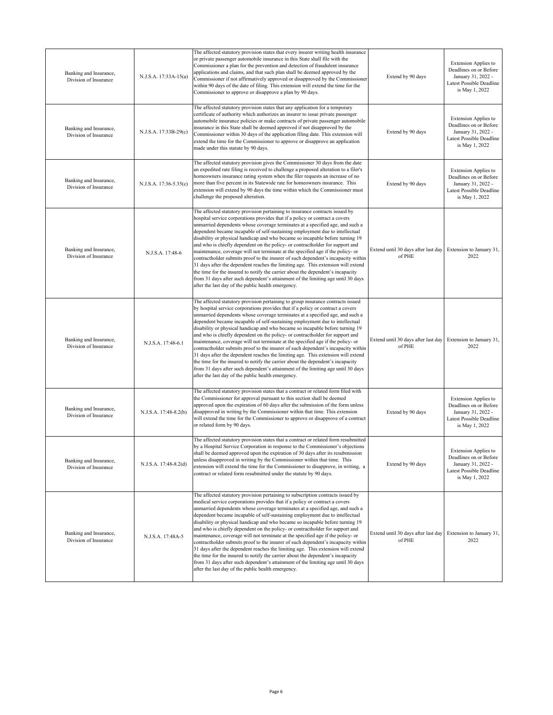| Banking and Insurance,<br>Division of Insurance | N.J.S.A. 17:33A-15(a)  | The affected statutory provision states that every insurer writing health insurance<br>or private passenger automobile insurance in this State shall file with the<br>Commissioner a plan for the prevention and detection of fraudulent insurance<br>applications and claims, and that such plan shall be deemed approved by the<br>Commissioner if not affirmatively approved or disapproved by the Commissioner<br>within 90 days of the date of filing. This extension will extend the time for the<br>Commissioner to approve or disapprove a plan by 90 days.                                                                                                                                                                                                                                                                                                                                                                                                                            | Extend by 90 days                             | <b>Extension Applies to</b><br>Deadlines on or Before<br>January 31, 2022 -<br>Latest Possible Deadline<br>is May 1, 2022 |
|-------------------------------------------------|------------------------|------------------------------------------------------------------------------------------------------------------------------------------------------------------------------------------------------------------------------------------------------------------------------------------------------------------------------------------------------------------------------------------------------------------------------------------------------------------------------------------------------------------------------------------------------------------------------------------------------------------------------------------------------------------------------------------------------------------------------------------------------------------------------------------------------------------------------------------------------------------------------------------------------------------------------------------------------------------------------------------------|-----------------------------------------------|---------------------------------------------------------------------------------------------------------------------------|
| Banking and Insurance,<br>Division of Insurance | N.J.S.A. 17:33B-29(c)  | The affected statutory provision states that any application for a temporary<br>certificate of authority which authorizes an insurer to issue private passenger<br>automobile insurance policies or make contracts of private passenger automobile<br>insurance in this State shall be deemed approved if not disapproved by the<br>Commissioner within 30 days of the application filing date. This extension will<br>extend the time for the Commissioner to approve or disapprove an application<br>made under this statute by 90 days.                                                                                                                                                                                                                                                                                                                                                                                                                                                     | Extend by 90 days                             | <b>Extension Applies to</b><br>Deadlines on or Before<br>January 31, 2022 -<br>Latest Possible Deadline<br>is May 1, 2022 |
| Banking and Insurance,<br>Division of Insurance | N.J.S.A. 17:36-5.35(c) | The affected statutory provision gives the Commissioner 30 days from the date<br>an expedited rate filing is received to challenge a proposed alteration to a filer's<br>homeowners insurance rating system when the filer requests an increase of no<br>more than five percent in its Statewide rate for homeowners insurance. This<br>extension will extend by 90 days the time within which the Commissioner must<br>challenge the proposed alteration.                                                                                                                                                                                                                                                                                                                                                                                                                                                                                                                                     | Extend by 90 days                             | <b>Extension Applies to</b><br>Deadlines on or Before<br>January 31, 2022 -<br>Latest Possible Deadline<br>is May 1, 2022 |
| Banking and Insurance,<br>Division of Insurance | N.J.S.A. 17:48-6       | The affected statutory provision pertaining to insurance contracts issued by<br>hospital service corporations provides that if a policy or contract a covers<br>unmarried dependents whose coverage terminates at a specified age, and such a<br>dependent became incapable of self-sustaining employment due to intellectual<br>disability or physical handicap and who became so incapable before turning 19<br>and who is chiefly dependent on the policy- or contractholder for support and<br>maintenance, coverage will not terminate at the specified age if the policy- or<br>contractholder submits proof to the insurer of such dependent's incapacity within<br>31 days after the dependent reaches the limiting age. This extension will extend<br>the time for the insured to notify the carrier about the dependent's incapacity<br>from 31 days after such dependent's attainment of the limiting age until 30 days<br>after the last day of the public health emergency.       | Extend until 30 days after last day<br>of PHE | Extension to January 31,<br>2022                                                                                          |
| Banking and Insurance,<br>Division of Insurance | N.J.S.A. 17:48-6.1     | The affected statutory provision pertaining to group insurance contracts issued<br>by hospital service corporations provides that if a policy or contract a covers<br>unmarried dependents whose coverage terminates at a specified age, and such a<br>dependent became incapable of self-sustaining employment due to intellectual<br>disability or physical handicap and who became so incapable before turning 19<br>and who is chiefly dependent on the policy- or contractholder for support and<br>maintenance, coverage will not terminate at the specified age if the policy- or<br>contractholder submits proof to the insurer of such dependent's incapacity within<br>31 days after the dependent reaches the limiting age. This extension will extend<br>the time for the insured to notify the carrier about the dependent's incapacity<br>from 31 days after such dependent's attainment of the limiting age until 30 days<br>after the last day of the public health emergency. | Extend until 30 days after last day<br>of PHE | Extension to January 31,<br>2022                                                                                          |
| Banking and Insurance,<br>Division of Insurance | N.J.S.A. 17:48-8.2(b)  | The affected statutory provision states that a contract or related form filed with<br>the Commissioner for approval pursuant to this section shall be deemed<br>approved upon the expiration of 60 days after the submission of the form unless<br>disapproved in writing by the Commissioner within that time. This extension<br>will extend the time for the Commissioner to approve or disapprove of a contract<br>or related form by 90 days.                                                                                                                                                                                                                                                                                                                                                                                                                                                                                                                                              | Extend by 90 days                             | <b>Extension Applies to</b><br>Deadlines on or Before<br>January 31, 2022 -<br>Latest Possible Deadline<br>is May 1, 2022 |
| Banking and Insurance,<br>Division of Insurance | N.J.S.A. 17:48-8.2(d)  | The affected statutory provision states that a contract or related form resubmitted<br>by a Hospital Service Corporation in response to the Commissioner's objections<br>shall be deemed approved upon the expiration of 30 days after its resubmission<br>unless disapproved in writing by the Commissioner within that time. This<br>extension will extend the time for the Commissioner to disapprove, in writing, a<br>contract or related form resubmitted under the statute by 90 days.                                                                                                                                                                                                                                                                                                                                                                                                                                                                                                  | Extend by 90 days                             | <b>Extension Applies to</b><br>Deadlines on or Before<br>January 31, 2022 -<br>Latest Possible Deadline<br>is May 1, 2022 |
| Banking and Insurance,<br>Division of Insurance | N.J.S.A. 17:48A-5      | The affected statutory provision pertaining to subscription contracts issued by<br>medical service corporations provides that if a policy or contract a covers<br>unmarried dependents whose coverage terminates at a specified age, and such a<br>dependent became incapable of self-sustaining employment due to intellectual<br>disability or physical handicap and who became so incapable before turning 19<br>and who is chiefly dependent on the policy- or contractholder for support and<br>maintenance, coverage will not terminate at the specified age if the policy- or<br>contractholder submits proof to the insurer of such dependent's incapacity within<br>31 days after the dependent reaches the limiting age. This extension will extend<br>the time for the insured to notify the carrier about the dependent's incapacity<br>from 31 days after such dependent's attainment of the limiting age until 30 days<br>after the last day of the public health emergency.     | Extend until 30 days after last day<br>of PHE | Extension to January 31,<br>2022                                                                                          |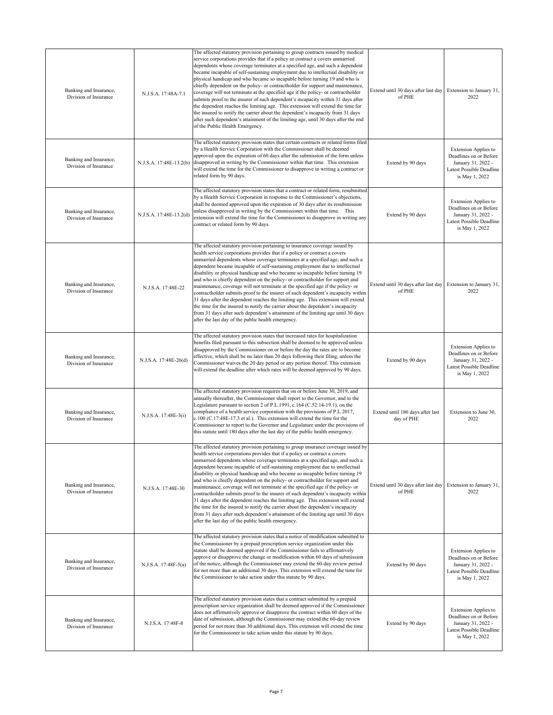| Banking and Insurance,<br>Division of Insurance | N.J.S.A. 17:48A-7.1     | The affected statutory provision pertaining to group contracts issued by medical<br>service corporations provides that if a policy or contract a covers unmarried<br>dependents whose coverage terminates at a specified age, and such a dependent<br>became incapable of self-sustaining employment due to intellectual disability or<br>physical handicap and who became so incapable before turning 19 and who is<br>chiefly dependent on the policy- or contractholder for support and maintenance,<br>coverage will not terminate at the specified age if the policy- or contractholder<br>submits proof to the insurer of such dependent's incapacity within 31 days after<br>the dependent reaches the limiting age. This extension will extend the time for<br>the insured to notify the carrier about the dependent's incapacity from 31 days<br>after such dependent's attainment of the limiting age, until 30 days after the end<br>of the Public Health Emergency.             | Extend until 30 days after last day Extension to January 31,<br>of PHE | 2022                                                                                                                      |
|-------------------------------------------------|-------------------------|---------------------------------------------------------------------------------------------------------------------------------------------------------------------------------------------------------------------------------------------------------------------------------------------------------------------------------------------------------------------------------------------------------------------------------------------------------------------------------------------------------------------------------------------------------------------------------------------------------------------------------------------------------------------------------------------------------------------------------------------------------------------------------------------------------------------------------------------------------------------------------------------------------------------------------------------------------------------------------------------|------------------------------------------------------------------------|---------------------------------------------------------------------------------------------------------------------------|
| Banking and Insurance,<br>Division of Insurance | N.J.S.A. 17:48E-13.2(b) | The affected statutory provision states that certain contracts or related forms filed<br>by a Health Service Corporation with the Commissioner shall be deemed<br>approved upon the expiration of 60 days after the submission of the form unless<br>disapproved in writing by the Commissioner within that time. This extension<br>will extend the time for the Commissioner to disapprove in writing a contract or<br>related form by 90 days.                                                                                                                                                                                                                                                                                                                                                                                                                                                                                                                                            | Extend by 90 days                                                      | <b>Extension Applies to</b><br>Deadlines on or Before<br>January 31, 2022 -<br>Latest Possible Deadline<br>is May 1, 2022 |
| Banking and Insurance,<br>Division of Insurance | N.J.S.A. 17:48E-13.2(d) | The affected statutory provision states that a contract or related form, resubmitted<br>by a Health Service Corporation in response to the Commissioner's objections,<br>shall be deemed approved upon the expiration of 30 days after its resubmission<br>unless disapproved in writing by the Commissioner within that time. This<br>extension will extend the time for the Commissioner to disapprove in writing any<br>contract or related form by 90 days.                                                                                                                                                                                                                                                                                                                                                                                                                                                                                                                             | Extend by 90 days                                                      | <b>Extension Applies to</b><br>Deadlines on or Before<br>January 31, 2022 -<br>Latest Possible Deadline<br>is May 1, 2022 |
| Banking and Insurance,<br>Division of Insurance | N.J.S.A. 17:48E-22      | The affected statutory provision pertaining to insurance coverage issued by<br>health service corporations provides that if a policy or contract a covers<br>unmarried dependents whose coverage terminates at a specified age, and such a<br>dependent became incapable of self-sustaining employment due to intellectual<br>disability or physical handicap and who became so incapable before turning 19<br>and who is chiefly dependent on the policy- or contractholder for support and<br>maintenance, coverage will not terminate at the specified age if the policy- or<br>contractholder submits proof to the insurer of such dependent's incapacity within<br>31 days after the dependent reaches the limiting age. This extension will extend<br>the time for the insured to notify the carrier about the dependent's incapacity<br>from 31 days after such dependent's attainment of the limiting age until 30 days<br>after the last day of the public health emergency.       | Extend until 30 days after last day Extension to January 31,<br>of PHE | 2022                                                                                                                      |
| Banking and Insurance,<br>Division of Insurance | N.J.S.A. 17:48E-26(d)   | The affected statutory provision states that increased rates for hospitalization<br>benefits filed pursuant to this subsection shall be deemed to be approved unless<br>disapproved by the Commissioner on or before the day the rates are to become<br>effective, which shall be no later than 20 days following their filing, unless the<br>Commissioner waives the 20 day period or any portion thereof. This extension<br>will extend the deadline after which rates will be deemed approved by 90 days.                                                                                                                                                                                                                                                                                                                                                                                                                                                                                | Extend by 90 days                                                      | <b>Extension Applies to</b><br>Deadlines on or Before<br>January 31, 2022 -<br>Latest Possible Deadline<br>is May 1, 2022 |
| Banking and Insurance,<br>Division of Insurance | N.J.S.A. 17:48E-3(i)    | The affected statutory provision requires that on or before June 30, 2019, and<br>annually thereafter, the Commissioner shall report to the Governor, and to the<br>Legislature pursuant to section 2 of P.L.1991, c.164 (C.52:14-19.1), on the<br>compliance of a health service corporation with the provisions of P.L.2017,<br>c.100 (C.17:48E-17.3 et al.). This extension will extend the time for the<br>Commissioner to report to the Governor and Legislature under the provisions of<br>this statute until 180 days after the last day of the public health emergency.                                                                                                                                                                                                                                                                                                                                                                                                             | Extend until 180 days after last<br>day of PHE                         | Extension to June 30.<br>2022                                                                                             |
| Banking and Insurance,<br>Division of Insurance | N.J.S.A. 17:48E-30      | The affected statutory provision pertaining to group insurance coverage issued by<br>health service corporations provides that if a policy or contract a covers<br>unmarried dependents whose coverage terminates at a specified age, and such a<br>dependent became incapable of self-sustaining employment due to intellectual<br>disability or physical handicap and who became so incapable before turning 19<br>and who is chiefly dependent on the policy- or contractholder for support and<br>maintenance, coverage will not terminate at the specified age if the policy- or<br>contractholder submits proof to the insurer of such dependent's incapacity within<br>31 days after the dependent reaches the limiting age. This extension will extend<br>the time for the insured to notify the carrier about the dependent's incapacity<br>from 31 days after such dependent's attainment of the limiting age until 30 days<br>after the last day of the public health emergency. | Extend until 30 days after last day Extension to January 31,<br>of PHE | 2022                                                                                                                      |
| Banking and Insurance,<br>Division of Insurance | N.J.S.A. 17:48F-5(a)    | The affected statutory provision states that a notice of modification submitted to<br>the Commissioner by a prepaid prescription service organization under this<br>statute shall be deemed approved if the Commissioner fails to affirmatively<br>approve or disapprove the change or modification within 60 days of submission<br>of the notice, although the Commissioner may extend the 60-day review period<br>for not more than an additional 30 days. This extension will extend the time for<br>the Commissioner to take action under this statute by 90 days.                                                                                                                                                                                                                                                                                                                                                                                                                      | Extend by 90 days                                                      | <b>Extension Applies to</b><br>Deadlines on or Before<br>January 31, 2022 -<br>Latest Possible Deadline<br>is May 1, 2022 |
| Banking and Insurance,<br>Division of Insurance | N.J.S.A. 17:48F-8       | The affected statutory provision states that a contract submitted by a prepaid<br>prescription service organization shall be deemed approved if the Commissioner<br>does not affirmatively approve or disapprove the contract within 60 days of the<br>date of submission, although the Commissioner may extend the 60-day review<br>period for not more than 30 additional days. This extension will extend the time<br>for the Commissioner to take action under this statute by 90 days.                                                                                                                                                                                                                                                                                                                                                                                                                                                                                                 | Extend by 90 days                                                      | <b>Extension Applies to</b><br>Deadlines on or Before<br>January 31, 2022 -<br>Latest Possible Deadline<br>is May 1, 2022 |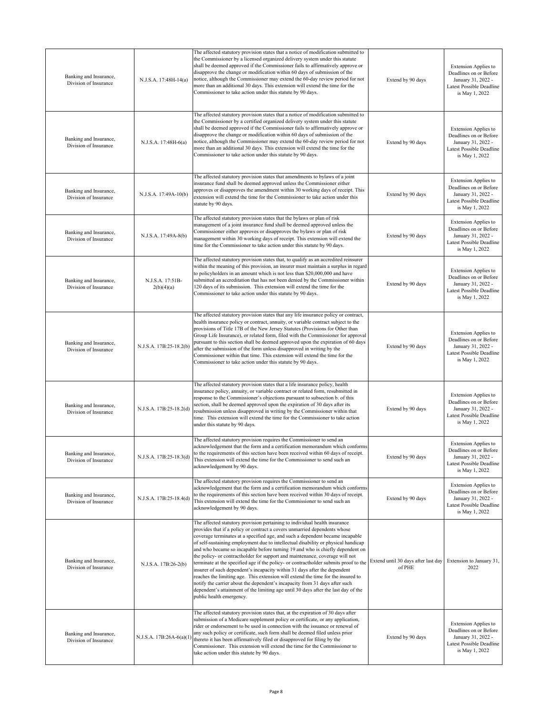| Banking and Insurance,<br>Division of Insurance | N.J.S.A. 17:48H-14(a)          | The affected statutory provision states that a notice of modification submitted to<br>the Commissioner by a licensed organized delivery system under this statute<br>shall be deemed approved if the Commissioner fails to affirmatively approve or<br>disapprove the change or modification within 60 days of submission of the<br>notice, although the Commissioner may extend the 60-day review period for not<br>more than an additional 30 days. This extension will extend the time for the<br>Commissioner to take action under this statute by 90 days.                                                                                                                                                                                                                                                                                                                                                                                          | Extend by 90 days                             | <b>Extension Applies to</b><br>Deadlines on or Before<br>January 31, 2022 -<br>Latest Possible Deadline<br>is May 1, 2022 |
|-------------------------------------------------|--------------------------------|----------------------------------------------------------------------------------------------------------------------------------------------------------------------------------------------------------------------------------------------------------------------------------------------------------------------------------------------------------------------------------------------------------------------------------------------------------------------------------------------------------------------------------------------------------------------------------------------------------------------------------------------------------------------------------------------------------------------------------------------------------------------------------------------------------------------------------------------------------------------------------------------------------------------------------------------------------|-----------------------------------------------|---------------------------------------------------------------------------------------------------------------------------|
| Banking and Insurance,<br>Division of Insurance | N.J.S.A. 17:48H-6(a)           | The affected statutory provision states that a notice of modification submitted to<br>the Commissioner by a certified organized delivery system under this statute<br>shall be deemed approved if the Commissioner fails to affirmatively approve or<br>disapprove the change or modification within 60 days of submission of the<br>notice, although the Commissioner may extend the 60-day review period for not<br>more than an additional 30 days. This extension will extend the time for the<br>Commissioner to take action under this statute by 90 days.                                                                                                                                                                                                                                                                                                                                                                                         | Extend by 90 days                             | <b>Extension Applies to</b><br>Deadlines on or Before<br>January 31, 2022 -<br>Latest Possible Deadline<br>is May 1, 2022 |
| Banking and Insurance,<br>Division of Insurance | N.J.S.A. 17:49A-10(b)          | The affected statutory provision states that amendments to bylaws of a joint<br>insurance fund shall be deemed approved unless the Commissioner either<br>approves or disapproves the amendment within 30 working days of receipt. This<br>extension will extend the time for the Commissioner to take action under this<br>statute by 90 days.                                                                                                                                                                                                                                                                                                                                                                                                                                                                                                                                                                                                          | Extend by 90 days                             | <b>Extension Applies to</b><br>Deadlines on or Before<br>January 31, 2022 -<br>Latest Possible Deadline<br>is May 1, 2022 |
| Banking and Insurance,<br>Division of Insurance | N.J.S.A. 17:49A-8(b)           | The affected statutory provision states that the bylaws or plan of risk<br>management of a joint insurance fund shall be deemed approved unless the<br>Commissioner either approves or disapproves the bylaws or plan of risk<br>management within 30 working days of receipt. This extension will extend the<br>time for the Commissioner to take action under this statute by 90 days.                                                                                                                                                                                                                                                                                                                                                                                                                                                                                                                                                                 | Extend by 90 days                             | <b>Extension Applies to</b><br>Deadlines on or Before<br>January 31, 2022 -<br>Latest Possible Deadline<br>is May 1, 2022 |
| Banking and Insurance,<br>Division of Insurance | N.J.S.A. 17:51B-<br>2(b)(4)(a) | The affected statutory provision states that, to qualify as an accredited reinsurer<br>within the meaning of this provision, an insurer must maintain a surplus in regard<br>to policyholders in an amount which is not less than \$20,000,000 and have<br>submitted an accreditation that has not been denied by the Commissioner within<br>120 days of its submission. This extension will extend the time for the<br>Commissioner to take action under this statute by 90 days.                                                                                                                                                                                                                                                                                                                                                                                                                                                                       | Extend by 90 days                             | <b>Extension Applies to</b><br>Deadlines on or Before<br>January 31, 2022 -<br>Latest Possible Deadline<br>is May 1, 2022 |
| Banking and Insurance,<br>Division of Insurance | N.J.S.A. 17B:25-18.2(b)        | The affected statutory provision states that any life insurance policy or contract,<br>health insurance policy or contract, annuity, or variable contract subject to the<br>provisions of Title 17B of the New Jersey Statutes (Provisions for Other than<br>Group Life Insurance), or related form, filed with the Commissioner for approval<br>pursuant to this section shall be deemed approved upon the expiration of 60 days<br>after the submission of the form unless disapproved in writing by the<br>Commissioner within that time. This extension will extend the time for the<br>Commissioner to take action under this statute by 90 days.                                                                                                                                                                                                                                                                                                   | Extend by 90 days                             | <b>Extension Applies to</b><br>Deadlines on or Before<br>January 31, 2022 -<br>Latest Possible Deadline<br>is May 1, 2022 |
| Banking and Insurance,<br>Division of Insurance | N.J.S.A. 17B:25-18.2(d)        | The affected statutory provision states that a life insurance policy, health<br>insurance policy, annuity, or variable contract or related form, resubmitted in<br>response to the Commissioner's objections pursuant to subsection b. of this<br>section, shall be deemed approved upon the expiration of 30 days after its<br>resubmission unless disapproved in writing by the Commissioner within that<br>time. This extension will extend the time for the Commissioner to take action<br>under this statute by 90 days.                                                                                                                                                                                                                                                                                                                                                                                                                            | Extend by 90 days                             | <b>Extension Applies to</b><br>Deadlines on or Before<br>January 31, 2022 -<br>Latest Possible Deadline<br>is May 1, 2022 |
| Banking and Insurance,<br>Division of Insurance | N.J.S.A. 17B:25-18.3(d)        | The affected statutory provision requires the Commissioner to send an<br>acknowledgement that the form and a certification memorandum which conforms<br>to the requirements of this section have been received within 60 days of receipt.<br>This extension will extend the time for the Commissioner to send such an<br>acknowledgement by 90 days.                                                                                                                                                                                                                                                                                                                                                                                                                                                                                                                                                                                                     | Extend by 90 days                             | Extension Applies to<br>Deadlines on or Before<br>January 31, 2022 -<br>Latest Possible Deadline<br>is May 1, 2022        |
| Banking and Insurance,<br>Division of Insurance | N.J.S.A. 17B:25-18.4(d)        | The affected statutory provision requires the Commissioner to send an<br>acknowledgement that the form and a certification memorandum which conforms<br>to the requirements of this section have been received within 30 days of receipt.<br>This extension will extend the time for the Commissioner to send such an<br>acknowledgement by 90 days.                                                                                                                                                                                                                                                                                                                                                                                                                                                                                                                                                                                                     | Extend by 90 days                             | <b>Extension Applies to</b><br>Deadlines on or Before<br>January 31, 2022 -<br>Latest Possible Deadline<br>is May 1, 2022 |
| Banking and Insurance,<br>Division of Insurance | N.J.S.A. 17B:26-2(b)           | The affected statutory provision pertaining to individual health insurance<br>provides that if a policy or contract a covers unmarried dependents whose<br>coverage terminates at a specified age, and such a dependent became incapable<br>of self-sustaining employment due to intellectual disability or physical handicap<br>and who became so incapable before turning 19 and who is chiefly dependent on<br>the policy- or contractholder for support and maintenance, coverage will not<br>terminate at the specified age if the policy- or contractholder submits proof to the<br>insurer of such dependent's incapacity within 31 days after the dependent<br>reaches the limiting age. This extension will extend the time for the insured to<br>notify the carrier about the dependent's incapacity from 31 days after such<br>dependent's attainment of the limiting age until 30 days after the last day of the<br>public health emergency. | Extend until 30 days after last day<br>of PHE | Extension to January 31,<br>2022                                                                                          |
| Banking and Insurance,<br>Division of Insurance | N.J.S.A. 17B:26A-6(a)(1)       | The affected statutory provision states that, at the expiration of 30 days after<br>submission of a Medicare supplement policy or certificate, or any application,<br>rider or endorsement to be used in connection with the issuance or renewal of<br>any such policy or certificate, such form shall be deemed filed unless prior<br>thereto it has been affirmatively filed or disapproved for filing by the<br>Commissioner. This extension will extend the time for the Commissioner to<br>take action under this statute by 90 days.                                                                                                                                                                                                                                                                                                                                                                                                               | Extend by 90 days                             | <b>Extension Applies to</b><br>Deadlines on or Before<br>January 31, 2022 -<br>Latest Possible Deadline<br>is May 1, 2022 |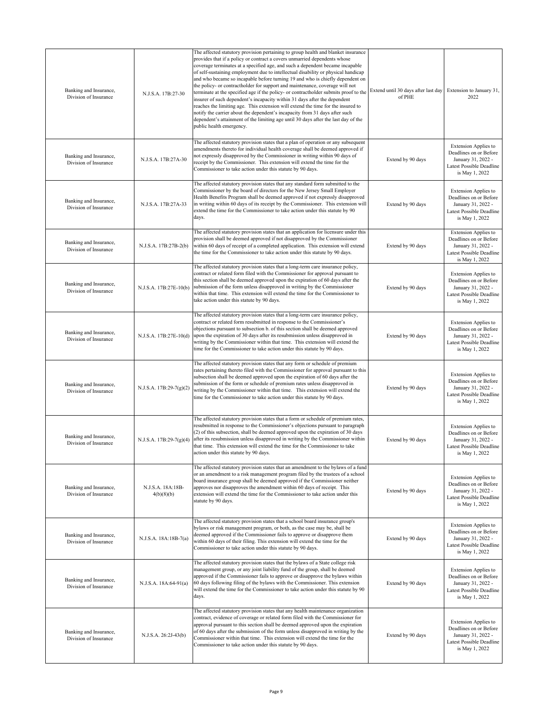| Banking and Insurance,<br>Division of Insurance | N.J.S.A. 17B:27-30              | The affected statutory provision pertaining to group health and blanket insurance<br>provides that if a policy or contract a covers unmarried dependents whose<br>coverage terminates at a specified age, and such a dependent became incapable<br>of self-sustaining employment due to intellectual disability or physical handicap<br>and who became so incapable before turning 19 and who is chiefly dependent on<br>the policy- or contractholder for support and maintenance, coverage will not<br>terminate at the specified age if the policy- or contractholder submits proof to the<br>insurer of such dependent's incapacity within 31 days after the dependent<br>reaches the limiting age. This extension will extend the time for the insured to<br>notify the carrier about the dependent's incapacity from 31 days after such<br>dependent's attainment of the limiting age until 30 days after the last day of the<br>public health emergency. | Extend until 30 days after last day<br>of PHE | Extension to January 31,<br>2022                                                                                          |
|-------------------------------------------------|---------------------------------|-----------------------------------------------------------------------------------------------------------------------------------------------------------------------------------------------------------------------------------------------------------------------------------------------------------------------------------------------------------------------------------------------------------------------------------------------------------------------------------------------------------------------------------------------------------------------------------------------------------------------------------------------------------------------------------------------------------------------------------------------------------------------------------------------------------------------------------------------------------------------------------------------------------------------------------------------------------------|-----------------------------------------------|---------------------------------------------------------------------------------------------------------------------------|
| Banking and Insurance,<br>Division of Insurance | N.J.S.A. 17B:27A-30             | The affected statutory provision states that a plan of operation or any subsequent<br>amendments thereto for individual health coverage shall be deemed approved if<br>not expressly disapproved by the Commissioner in writing within 90 days of<br>receipt by the Commissioner. This extension will extend the time for the<br>Commissioner to take action under this statute by 90 days.                                                                                                                                                                                                                                                                                                                                                                                                                                                                                                                                                                     | Extend by 90 days                             | <b>Extension Applies to</b><br>Deadlines on or Before<br>January 31, 2022 -<br>Latest Possible Deadline<br>is May 1, 2022 |
| Banking and Insurance,<br>Division of Insurance | N.J.S.A. 17B:27A-33             | The affected statutory provision states that any standard form submitted to the<br>Commissioner by the board of directors for the New Jersey Small Employer<br>Health Benefits Program shall be deemed approved if not expressly disapproved<br>in writing within 60 days of its receipt by the Commissioner. This extension will<br>extend the time for the Commissioner to take action under this statute by 90<br>days.                                                                                                                                                                                                                                                                                                                                                                                                                                                                                                                                      | Extend by 90 days                             | <b>Extension Applies to</b><br>Deadlines on or Before<br>January 31, 2022 -<br>Latest Possible Deadline<br>is May 1, 2022 |
| Banking and Insurance,<br>Division of Insurance | N.J.S.A. 17B:27B-2(b)           | The affected statutory provision states that an application for licensure under this<br>provision shall be deemed approved if not disapproved by the Commissioner<br>within 60 days of receipt of a completed application. This extension will extend<br>the time for the Commissioner to take action under this statute by 90 days.                                                                                                                                                                                                                                                                                                                                                                                                                                                                                                                                                                                                                            | Extend by 90 days                             | <b>Extension Applies to</b><br>Deadlines on or Before<br>January 31, 2022 -<br>Latest Possible Deadline<br>is May 1, 2022 |
| Banking and Insurance,<br>Division of Insurance | N.J.S.A. 17B:27E-10(b)          | The affected statutory provision states that a long-term care insurance policy,<br>contract or related form filed with the Commissioner for approval pursuant to<br>this section shall be deemed approved upon the expiration of 60 days after the<br>submission of the form unless disapproved in writing by the Commissioner<br>within that time. This extension will extend the time for the Commissioner to<br>take action under this statute by 90 days.                                                                                                                                                                                                                                                                                                                                                                                                                                                                                                   | Extend by 90 days                             | <b>Extension Applies to</b><br>Deadlines on or Before<br>January 31, 2022 -<br>Latest Possible Deadline<br>is May 1, 2022 |
| Banking and Insurance,<br>Division of Insurance | N.J.S.A. 17B:27E-10(d)          | The affected statutory provision states that a long-term care insurance policy,<br>contract or related form resubmitted in response to the Commissioner's<br>objections pursuant to subsection b. of this section shall be deemed approved<br>upon the expiration of 30 days after its resubmission unless disapproved in<br>writing by the Commissioner within that time. This extension will extend the<br>time for the Commissioner to take action under this statute by 90 days.                                                                                                                                                                                                                                                                                                                                                                                                                                                                            | Extend by 90 days                             | <b>Extension Applies to</b><br>Deadlines on or Before<br>January 31, 2022 -<br>Latest Possible Deadline<br>is May 1, 2022 |
| Banking and Insurance,<br>Division of Insurance | N.J.S.A. 17B:29-7(g)(2)         | The affected statutory provision states that any form or schedule of premium<br>rates pertaining thereto filed with the Commissioner for approval pursuant to this<br>subsection shall be deemed approved upon the expiration of 60 days after the<br>submission of the form or schedule of premium rates unless disapproved in<br>writing by the Commissioner within that time. This extension will extend the<br>time for the Commissioner to take action under this statute by 90 days.                                                                                                                                                                                                                                                                                                                                                                                                                                                                      | Extend by 90 days                             | <b>Extension Applies to</b><br>Deadlines on or Before<br>January 31, 2022 -<br>Latest Possible Deadline<br>is May 1, 2022 |
| Banking and Insurance,<br>Division of Insurance | N.J.S.A. 17B:29-7(g)(4)         | The affected statutory provision states that a form or schedule of premium rates,<br>resubmitted in response to the Commissioner's objections pursuant to paragraph<br>(2) of this subsection, shall be deemed approved upon the expiration of 30 days<br>after its resubmission unless disapproved in writing by the Commissioner within<br>that time. This extension will extend the time for the Commissioner to take<br>action under this statute by 90 days.                                                                                                                                                                                                                                                                                                                                                                                                                                                                                               | Extend by 90 days                             | <b>Extension Applies to</b><br>Deadlines on or Before<br>January 31, 2022 -<br>Latest Possible Deadline<br>is May 1, 2022 |
| Banking and Insurance,<br>Division of Insurance | N.J.S.A. 18A:18B-<br>4(b)(8)(b) | The affected statutory provision states that an amendment to the bylaws of a fund<br>or an amendment to a risk management program filed by the trustees of a school<br>board insurance group shall be deemed approved if the Commissioner neither<br>approves nor disapproves the amendment within 60 days of receipt. This<br>extension will extend the time for the Commissioner to take action under this<br>statute by 90 days.                                                                                                                                                                                                                                                                                                                                                                                                                                                                                                                             | Extend by 90 days                             | <b>Extension Applies to</b><br>Deadlines on or Before<br>January 31, 2022 -<br>Latest Possible Deadline<br>is May 1, 2022 |
| Banking and Insurance,<br>Division of Insurance | N.J.S.A. 18A:18B-7(a)           | The affected statutory provision states that a school board insurance group's<br>bylaws or risk management program, or both, as the case may be, shall be<br>deemed approved if the Commissioner fails to approve or disapprove them<br>within 60 days of their filing. This extension will extend the time for the<br>Commissioner to take action under this statute by 90 days.                                                                                                                                                                                                                                                                                                                                                                                                                                                                                                                                                                               | Extend by 90 days                             | <b>Extension Applies to</b><br>Deadlines on or Before<br>January 31, 2022 -<br>Latest Possible Deadline<br>is May 1, 2022 |
| Banking and Insurance,<br>Division of Insurance | N.J.S.A. 18A:64-91(a)           | The affected statutory provision states that the bylaws of a State college risk<br>management group, or any joint liability fund of the group, shall be deemed<br>approved if the Commissioner fails to approve or disapprove the bylaws within<br>60 days following filing of the bylaws with the Commissioner. This extension<br>will extend the time for the Commissioner to take action under this statute by 90<br>days.                                                                                                                                                                                                                                                                                                                                                                                                                                                                                                                                   | Extend by 90 days                             | <b>Extension Applies to</b><br>Deadlines on or Before<br>January 31, 2022 -<br>Latest Possible Deadline<br>is May 1, 2022 |
| Banking and Insurance,<br>Division of Insurance | N.J.S.A. 26:2J-43(b)            | The affected statutory provision states that any health maintenance organization<br>contract, evidence of coverage or related form filed with the Commissioner for<br>approval pursuant to this section shall be deemed approved upon the expiration<br>of 60 days after the submission of the form unless disapproved in writing by the<br>Commissioner within that time. This extension will extend the time for the<br>Commissioner to take action under this statute by 90 days.                                                                                                                                                                                                                                                                                                                                                                                                                                                                            | Extend by 90 days                             | <b>Extension Applies to</b><br>Deadlines on or Before<br>January 31, 2022 -<br>Latest Possible Deadline<br>is May 1, 2022 |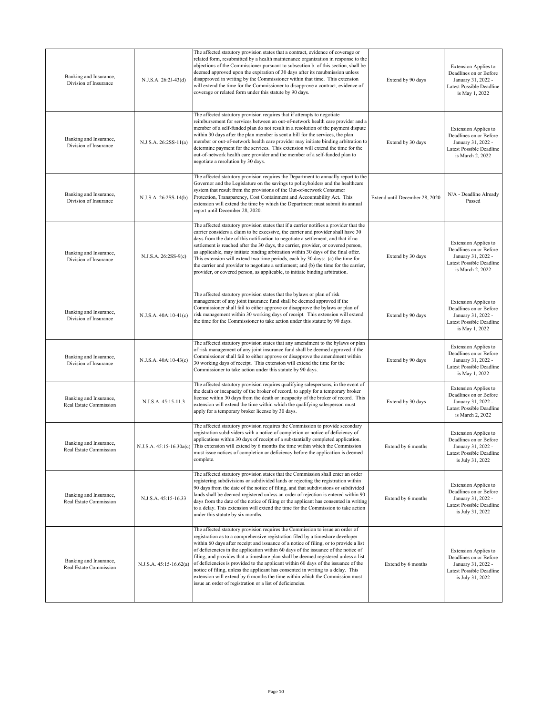| Banking and Insurance,<br>Division of Insurance  | N.J.S.A. 26:2J-43(d)    | The affected statutory provision states that a contract, evidence of coverage or<br>related form, resubmitted by a health maintenance organization in response to the<br>objections of the Commissioner pursuant to subsection b. of this section, shall be<br>deemed approved upon the expiration of 30 days after its resubmission unless<br>disapproved in writing by the Commissioner within that time. This extension<br>will extend the time for the Commissioner to disapprove a contract, evidence of<br>coverage or related form under this statute by 90 days.                                                                                                                                                                                    | Extend by 90 days              | <b>Extension Applies to</b><br>Deadlines on or Before<br>January 31, 2022 -<br>Latest Possible Deadline<br>is May 1, 2022   |
|--------------------------------------------------|-------------------------|-------------------------------------------------------------------------------------------------------------------------------------------------------------------------------------------------------------------------------------------------------------------------------------------------------------------------------------------------------------------------------------------------------------------------------------------------------------------------------------------------------------------------------------------------------------------------------------------------------------------------------------------------------------------------------------------------------------------------------------------------------------|--------------------------------|-----------------------------------------------------------------------------------------------------------------------------|
| Banking and Insurance,<br>Division of Insurance  | N.J.S.A. 26:2SS-11(a)   | The affected statutory provision requires that if attempts to negotiate<br>reimbursement for services between an out-of-network health care provider and a<br>member of a self-funded plan do not result in a resolution of the payment dispute<br>within 30 days after the plan member is sent a bill for the services, the plan<br>member or out-of-network health care provider may initiate binding arbitration to<br>determine payment for the services. This extension will extend the time for the<br>out-of-network health care provider and the member of a self-funded plan to<br>negotiate a resolution by 30 days.                                                                                                                              | Extend by 30 days              | <b>Extension Applies to</b><br>Deadlines on or Before<br>January 31, 2022 -<br>Latest Possible Deadline<br>is March 2, 2022 |
| Banking and Insurance,<br>Division of Insurance  | N.J.S.A. 26:2SS-14(b)   | The affected statutory provision requires the Department to annually report to the<br>Governor and the Legislature on the savings to policyholders and the healthcare<br>system that result from the provisions of the Out-of-network Consumer<br>Protection, Transparency, Cost Containment and Accountability Act. This<br>extension will extend the time by which the Department must submit its annual<br>report until December 28, 2020.                                                                                                                                                                                                                                                                                                               | Extend until December 28, 2020 | N/A - Deadline Already<br>Passed                                                                                            |
| Banking and Insurance,<br>Division of Insurance  | N.J.S.A. 26:2SS-9(c)    | The affected statutory provision states that if a carrier notifies a provider that the<br>carrier considers a claim to be excessive, the carrier and provider shall have 30<br>days from the date of this notification to negotiate a settlement, and that if no<br>settlement is reached after the 30 days, the carrier, provider, or covered person,<br>as applicable, may initiate binding arbitration within 30 days of the final offer.<br>This extension will extend two time periods, each by 30 days: (a) the time for<br>the carrier and provider to negotiate a settlement; and (b) the time for the carrier,<br>provider, or covered person, as applicable, to initiate binding arbitration.                                                     | Extend by 30 days              | <b>Extension Applies to</b><br>Deadlines on or Before<br>January 31, 2022 -<br>Latest Possible Deadline<br>is March 2, 2022 |
| Banking and Insurance,<br>Division of Insurance  | $N.J.S.A. 40A:10-41(c)$ | The affected statutory provision states that the bylaws or plan of risk<br>management of any joint insurance fund shall be deemed approved if the<br>Commissioner shall fail to either approve or disapprove the bylaws or plan of<br>risk management within 30 working days of receipt. This extension will extend<br>the time for the Commissioner to take action under this statute by 90 days.                                                                                                                                                                                                                                                                                                                                                          | Extend by 90 days              | <b>Extension Applies to</b><br>Deadlines on or Before<br>January 31, 2022 -<br>Latest Possible Deadline<br>is May 1, 2022   |
| Banking and Insurance,<br>Division of Insurance  | N.J.S.A. 40A:10-43(c)   | The affected statutory provision states that any amendment to the bylaws or plan<br>of risk management of any joint insurance fund shall be deemed approved if the<br>Commissioner shall fail to either approve or disapprove the amendment within<br>30 working days of receipt. This extension will extend the time for the<br>Commissioner to take action under this statute by 90 days.                                                                                                                                                                                                                                                                                                                                                                 | Extend by 90 days              | <b>Extension Applies to</b><br>Deadlines on or Before<br>January 31, 2022 -<br>Latest Possible Deadline<br>is May 1, 2022   |
| Banking and Insurance,<br>Real Estate Commission | N.J.S.A. 45:15-11.3     | The affected statutory provision requires qualifying salespersons, in the event of<br>the death or incapacity of the broker of record, to apply for a temporary broker<br>license within 30 days from the death or incapacity of the broker of record. This<br>extension will extend the time within which the qualifying salesperson must<br>apply for a temporary broker license by 30 days.                                                                                                                                                                                                                                                                                                                                                              | Extend by 30 days              | <b>Extension Applies to</b><br>Deadlines on or Before<br>January 31, 2022 -<br>Latest Possible Deadline<br>is March 2, 2022 |
| Banking and Insurance,<br>Real Estate Commission |                         | The affected statutory provision requires the Commission to provide secondary<br>egistration subdividers with a notice of completion or notice of deficiency of<br>applications within 30 days of receipt of a substantially completed application.<br>N.J.S.A. 45:15-16.30a(c) This extension will extend by 6 months the time within which the Commission<br>must issue notices of completion or deficiency before the application is deemed<br>complete.                                                                                                                                                                                                                                                                                                 | Extend by 6 months             | <b>Extension Applies to</b><br>Deadlines on or Before<br>January 31, 2022 -<br>Latest Possible Deadline<br>is July 31, 2022 |
| Banking and Insurance,<br>Real Estate Commission | N.J.S.A. 45:15-16.33    | The affected statutory provision states that the Commission shall enter an order<br>registering subdivisions or subdivided lands or rejecting the registration within<br>90 days from the date of the notice of filing, and that subdivisions or subdivided<br>lands shall be deemed registered unless an order of rejection is entered within 90<br>days from the date of the notice of filing or the applicant has consented in writing<br>to a delay. This extension will extend the time for the Commission to take action<br>under this statute by six months.                                                                                                                                                                                         | Extend by 6 months             | <b>Extension Applies to</b><br>Deadlines on or Before<br>January 31, 2022 -<br>Latest Possible Deadline<br>is July 31, 2022 |
| Banking and Insurance,<br>Real Estate Commission | N.J.S.A. 45:15-16.62(a) | The affected statutory provision requires the Commission to issue an order of<br>registration as to a comprehensive registration filed by a timeshare developer<br>within 60 days after receipt and issuance of a notice of filing, or to provide a list<br>of deficiencies in the application within 60 days of the issuance of the notice of<br>filing, and provides that a timeshare plan shall be deemed registered unless a list<br>of deficiencies is provided to the applicant within 60 days of the issuance of the<br>notice of filing, unless the applicant has consented in writing to a delay. This<br>extension will extend by 6 months the time within which the Commission must<br>issue an order of registration or a list of deficiencies. | Extend by 6 months             | <b>Extension Applies to</b><br>Deadlines on or Before<br>January 31, 2022 -<br>Latest Possible Deadline<br>is July 31, 2022 |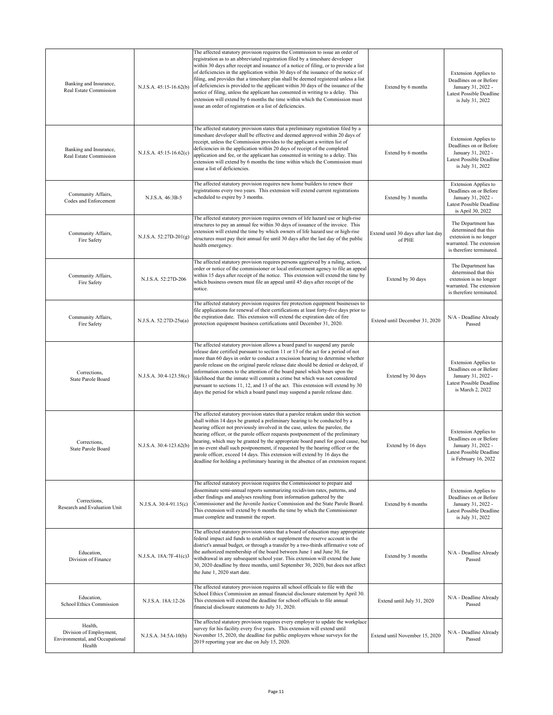| Banking and Insurance,<br>Real Estate Commission                                | N.J.S.A. 45:15-16.62(b)   | The affected statutory provision requires the Commission to issue an order of<br>registration as to an abbreviated registration filed by a timeshare developer<br>within 30 days after receipt and issuance of a notice of filing, or to provide a list<br>of deficiencies in the application within 30 days of the issuance of the notice of<br>filing, and provides that a timeshare plan shall be deemed registered unless a list<br>of deficiencies is provided to the applicant within 30 days of the issuance of the<br>notice of filing, unless the applicant has consented in writing to a delay. This<br>extension will extend by 6 months the time within which the Commission must<br>issue an order of registration or a list of deficiencies. | Extend by 6 months                            | <b>Extension Applies to</b><br>Deadlines on or Before<br>January 31, 2022 -<br>Latest Possible Deadline<br>is July 31, 2022            |
|---------------------------------------------------------------------------------|---------------------------|------------------------------------------------------------------------------------------------------------------------------------------------------------------------------------------------------------------------------------------------------------------------------------------------------------------------------------------------------------------------------------------------------------------------------------------------------------------------------------------------------------------------------------------------------------------------------------------------------------------------------------------------------------------------------------------------------------------------------------------------------------|-----------------------------------------------|----------------------------------------------------------------------------------------------------------------------------------------|
| Banking and Insurance,<br>Real Estate Commission                                | $N.J.S.A. 45:15-16.62(c)$ | The affected statutory provision states that a preliminary registration filed by a<br>timeshare developer shall be effective and deemed approved within 20 days of<br>receipt, unless the Commission provides to the applicant a written list of<br>deficiencies in the application within 20 days of receipt of the completed<br>application and fee, or the applicant has consented in writing to a delay. This<br>extension will extend by 6 months the time within which the Commission must<br>issue a list of deficiencies.                                                                                                                                                                                                                          | Extend by 6 months                            | <b>Extension Applies to</b><br>Deadlines on or Before<br>January 31, 2022 -<br>Latest Possible Deadline<br>is July 31, 2022            |
| Community Affairs,<br>Codes and Enforcement                                     | N.J.S.A. 46:3B-5          | The affected statutory provision requires new home builders to renew their<br>registrations every two years. This extension will extend current registrations<br>scheduled to expire by 3 months.                                                                                                                                                                                                                                                                                                                                                                                                                                                                                                                                                          | Extend by 3 months                            | <b>Extension Applies to</b><br>Deadlines on or Before<br>January 31, 2022 -<br>Latest Possible Deadline<br>is April 30, 2022           |
| Community Affairs,<br>Fire Safety                                               | N.J.S.A. 52:27D-201(g)    | The affected statutory provision requires owners of life hazard use or high-rise<br>structures to pay an annual fee within 30 days of issuance of the invoice. This<br>extension will extend the time by which owners of life hazard use or high-rise<br>structures must pay their annual fee until 30 days after the last day of the public<br>health emergency.                                                                                                                                                                                                                                                                                                                                                                                          | Extend until 30 days after last day<br>of PHE | The Department has<br>determined that this<br>extension is no longer<br>warranted. The extension<br>is therefore terminated.           |
| Community Affairs,<br>Fire Safety                                               | N.J.S.A. 52:27D-206       | The affected statutory provision requires persons aggrieved by a ruling, action,<br>order or notice of the commissioner or local enforcement agency to file an appeal<br>within 15 days after receipt of the notice. This extension will extend the time by<br>which business owners must file an appeal until 45 days after receipt of the<br>notice.                                                                                                                                                                                                                                                                                                                                                                                                     | Extend by 30 days                             | The Department has<br>determined that this<br>extension is no longer<br>warranted. The extension<br>is therefore terminated.           |
| Community Affairs,<br>Fire Safety                                               | N.J.S.A. 52:27D-25u(a)    | The affected statutory provision requires fire protection equipment businesses to<br>file applications for renewal of their certifications at least forty-five days prior to<br>the expiration date. This extension will extend the expiration date of fire<br>protection equipment business certifications until December 31, 2020.                                                                                                                                                                                                                                                                                                                                                                                                                       | Extend until December 31, 2020                | N/A - Deadline Already<br>Passed                                                                                                       |
| Corrections,<br>State Parole Board                                              | N.J.S.A. 30:4-123.58(c)   | The affected statutory provision allows a board panel to suspend any parole<br>release date certified pursuant to section 11 or 13 of the act for a period of not<br>more than 60 days in order to conduct a rescission hearing to determine whether<br>parole release on the original parole release date should be denied or delayed, if<br>information comes to the attention of the board panel which bears upon the<br>likelihood that the inmate will commit a crime but which was not considered<br>pursuant to sections 11, 12, and 13 of the act. This extension will extend by 30<br>days the period for which a board panel may suspend a parole release date.                                                                                  | Extend by 30 days                             | <b>Extension Applies to</b><br>Deadlines on or Before<br>January 31, 2022 -<br>Latest Possible Deadline<br>is March 2, 2022            |
| Corrections,<br>State Parole Board                                              | N.J.S.A. 30:4-123.62(b)   | The affected statutory provision states that a parolee retaken under this section<br>shall within 14 days be granted a preliminary hearing to be conducted by a<br>hearing officer not previously involved in the case, unless the parolee, the<br>hearing officer, or the parole officer requests postponement of the preliminary<br>hearing, which may be granted by the appropriate board panel for good cause, but<br>in no event shall such postponement, if requested by the hearing officer or the<br>parole officer, exceed 14 days. This extension will extend by 16 days the<br>deadline for holding a preliminary hearing in the absence of an extension request.                                                                               | Extend by 16 days                             | <b>Extension Applies to</b><br>Deadlines on or Before<br>January 31, 2022 -<br><b>Latest Possible Deadline</b><br>is February 16, 2022 |
| Corrections,<br>Research and Evaluation Unit                                    | $N.J.S.A. 30:4-91.15(c)$  | The affected statutory provision requires the Commissioner to prepare and<br>disseminate semi-annual reports summarizing recidivism rates, patterns, and<br>other findings and analyses resulting from information gathered by the<br>Commissioner and the Juvenile Justice Commission and the State Parole Board.<br>This extension will extend by 6 months the time by which the Commissioner<br>must complete and transmit the report.                                                                                                                                                                                                                                                                                                                  | Extend by 6 months                            | <b>Extension Applies to</b><br>Deadlines on or Before<br>January 31, 2022 -<br>Latest Possible Deadline<br>is July 31, 2022            |
| Education,<br>Division of Finance                                               | N.J.S.A. 18A:7F-41(c)3    | The affected statutory provision states that a board of education may appropriate<br>federal impact aid funds to establish or supplement the reserve account in the<br>district's annual budget, or through a transfer by a two-thirds affirmative vote of<br>the authorized membership of the board between June 1 and June 30, for<br>withdrawal in any subsequent school year. This extension will extend the June<br>30, 2020 deadline by three months, until September 30, 2020, but does not affect<br>the June 1, 2020 start date.                                                                                                                                                                                                                  | Extend by 3 months                            | N/A - Deadline Already<br>Passed                                                                                                       |
| Education,<br>School Ethics Commission                                          | N.J.S.A. 18A:12-26        | The affected statutory provision requires all school officials to file with the<br>School Ethics Commission an annual financial disclosure statement by April 30.<br>This extension will extend the deadline for school officials to file annual<br>financial disclosure statements to July 31, 2020.                                                                                                                                                                                                                                                                                                                                                                                                                                                      | Extend until July 31, 2020                    | N/A - Deadline Already<br>Passed                                                                                                       |
| Health,<br>Division of Employment,<br>Environmental, and Occupational<br>Health | N.J.S.A. 34:5A-10(b)      | The affected statutory provision requires every employer to update the workplace<br>survey for his facility every five years. This extension will extend until<br>November 15, 2020, the deadline for public employers whose surveys for the<br>2019 reporting year are due on July 15, 2020.                                                                                                                                                                                                                                                                                                                                                                                                                                                              | Extend until November 15, 2020                | N/A - Deadline Already<br>Passed                                                                                                       |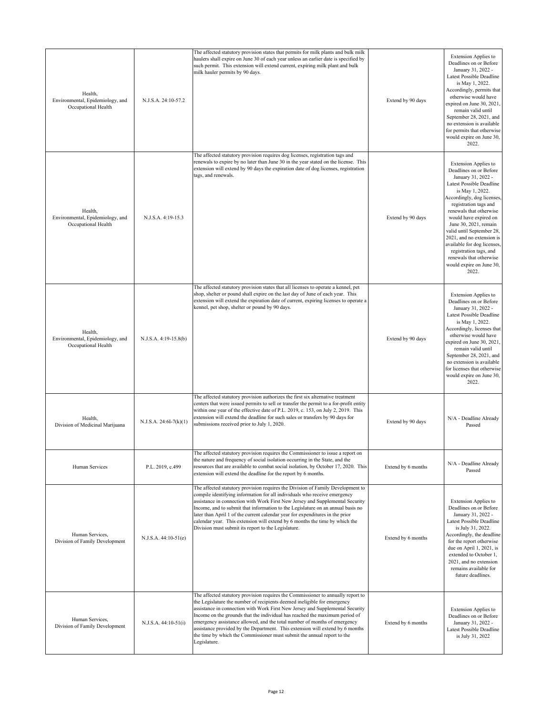| Health,<br>Environmental, Epidemiology, and<br>Occupational Health | N.J.S.A. 24:10-57.2      | The affected statutory provision states that permits for milk plants and bulk milk<br>haulers shall expire on June 30 of each year unless an earlier date is specified by<br>such permit. This extension will extend current, expiring milk plant and bulk<br>milk hauler permits by 90 days.                                                                                                                                                                                                                                                                                         | Extend by 90 days  | <b>Extension Applies to</b><br>Deadlines on or Before<br>January 31, 2022 -<br>Latest Possible Deadline<br>is May 1, 2022.<br>Accordingly, permits that<br>otherwise would have<br>expired on June 30, 2021,<br>remain valid until<br>September 28, 2021, and<br>no extension is available<br>for permits that otherwise<br>would expire on June 30,<br>2022.                                                                                     |
|--------------------------------------------------------------------|--------------------------|---------------------------------------------------------------------------------------------------------------------------------------------------------------------------------------------------------------------------------------------------------------------------------------------------------------------------------------------------------------------------------------------------------------------------------------------------------------------------------------------------------------------------------------------------------------------------------------|--------------------|---------------------------------------------------------------------------------------------------------------------------------------------------------------------------------------------------------------------------------------------------------------------------------------------------------------------------------------------------------------------------------------------------------------------------------------------------|
| Health,<br>Environmental, Epidemiology, and<br>Occupational Health | N.J.S.A. 4:19-15.3       | The affected statutory provision requires dog licenses, registration tags and<br>renewals to expire by no later than June 30 in the year stated on the license. This<br>extension will extend by 90 days the expiration date of dog licenses, registration<br>tags, and renewals.                                                                                                                                                                                                                                                                                                     | Extend by 90 days  | <b>Extension Applies to</b><br>Deadlines on or Before<br>January 31, 2022 -<br>Latest Possible Deadline<br>is May 1, 2022.<br>Accordingly, dog licenses,<br>registration tags and<br>renewals that otherwise<br>would have expired on<br>June 30, 2021, remain<br>valid until September 28,<br>2021, and no extension is<br>available for dog licenses,<br>registration tags, and<br>renewals that otherwise<br>would expire on June 30,<br>2022. |
| Health,<br>Environmental, Epidemiology, and<br>Occupational Health | N.J.S.A. 4:19-15.8(b)    | The affected statutory provision states that all licenses to operate a kennel, pet<br>shop, shelter or pound shall expire on the last day of June of each year. This<br>extension will extend the expiration date of current, expiring licenses to operate a<br>kennel, pet shop, shelter or pound by 90 days.                                                                                                                                                                                                                                                                        | Extend by 90 days  | <b>Extension Applies to</b><br>Deadlines on or Before<br>January 31, 2022 -<br>Latest Possible Deadline<br>is May 1, 2022.<br>Accordingly, licenses that<br>otherwise would have<br>expired on June 30, 2021,<br>remain valid until<br>September 28, 2021, and<br>no extension is available<br>for licenses that otherwise<br>would expire on June 30,<br>2022.                                                                                   |
| Health,<br>Division of Medicinal Marijuana                         | $N.J.S.A. 24:6I-7(k)(1)$ | The affected statutory provision authorizes the first six alternative treatment<br>centers that were issued permits to sell or transfer the permit to a for-profit entity<br>within one year of the effective date of P.L. 2019, c. 153, on July 2, 2019. This<br>extension will extend the deadline for such sales or transfers by 90 days for<br>submissions received prior to July 1, 2020.                                                                                                                                                                                        | Extend by 90 days  | N/A - Deadline Already<br>Passed                                                                                                                                                                                                                                                                                                                                                                                                                  |
| Human Services                                                     | P.L. 2019, c.499         | The affected statutory provision requires the Commissioner to issue a report on<br>the nature and frequency of social isolation occurring in the State, and the<br>resources that are available to combat social isolation, by October 17, 2020. This<br>extension will extend the deadline for the report by 6 months.                                                                                                                                                                                                                                                               | Extend by 6 months | N/A - Deadline Already<br>Passed                                                                                                                                                                                                                                                                                                                                                                                                                  |
| Human Services,<br>Division of Family Development                  | N.J.S.A. 44:10-51(e)     | The affected statutory provision requires the Division of Family Development to<br>compile identifying information for all individuals who receive emergency<br>assistance in connection with Work First New Jersey and Supplemental Security<br>Income, and to submit that information to the Legislature on an annual basis no<br>later than April 1 of the current calendar year for expenditures in the prior<br>calendar year. This extension will extend by 6 months the time by which the<br>Division must submit its report to the Legislature.                               | Extend by 6 months | <b>Extension Applies to</b><br>Deadlines on or Before<br>January 31, 2022 -<br>Latest Possible Deadline<br>is July 31, 2022.<br>Accordingly, the deadline<br>for the report otherwise<br>due on April 1, 2021, is<br>extended to October 1,<br>2021, and no extension<br>remains available for<br>future deadlines.                                                                                                                               |
| Human Services,<br>Division of Family Development                  | $N.J.S.A. 44:10-51(i)$   | The affected statutory provision requires the Commissioner to annually report to<br>the Legislature the number of recipients deemed ineligible for emergency<br>assistance in connection with Work First New Jersey and Supplemental Security<br>Income on the grounds that the individual has reached the maximum period of<br>emergency assistance allowed, and the total number of months of emergency<br>assistance provided by the Department. This extension will extend by 6 months<br>the time by which the Commissioner must submit the annual report to the<br>Legislature. | Extend by 6 months | <b>Extension Applies to</b><br>Deadlines on or Before<br>January 31, 2022 -<br>Latest Possible Deadline<br>is July 31, 2022                                                                                                                                                                                                                                                                                                                       |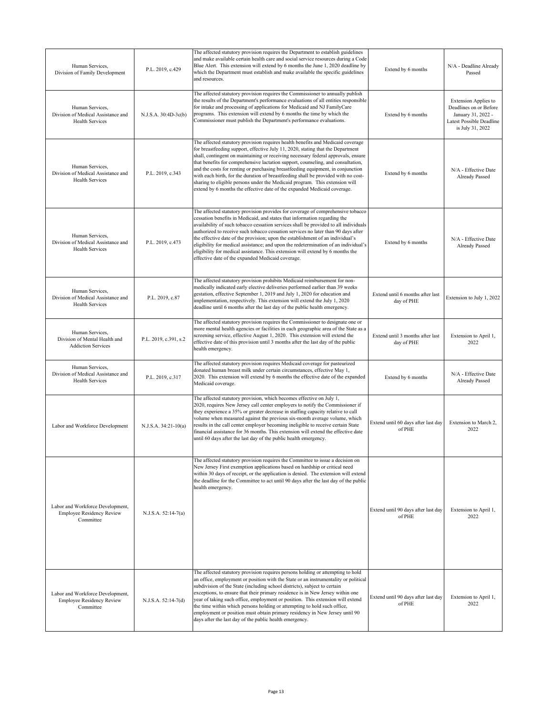| Human Services,<br>Division of Family Development                                 | P.L. 2019, c.429      | The affected statutory provision requires the Department to establish guidelines<br>and make available certain health care and social service resources during a Code<br>Blue Alert. This extension will extend by 6 months the June 1, 2020 deadline by<br>which the Department must establish and make available the specific guidelines<br>and resources.                                                                                                                                                                                                                                                                                                                    | Extend by 6 months                             | N/A - Deadline Already<br>Passed                                                                                            |
|-----------------------------------------------------------------------------------|-----------------------|---------------------------------------------------------------------------------------------------------------------------------------------------------------------------------------------------------------------------------------------------------------------------------------------------------------------------------------------------------------------------------------------------------------------------------------------------------------------------------------------------------------------------------------------------------------------------------------------------------------------------------------------------------------------------------|------------------------------------------------|-----------------------------------------------------------------------------------------------------------------------------|
| Human Services,<br>Division of Medical Assistance and<br>Health Services          | N.J.S.A. 30:4D-3c(b)  | The affected statutory provision requires the Commissioner to annually publish<br>the results of the Department's performance evaluations of all entities responsible<br>for intake and processing of applications for Medicaid and NJ FamilyCare<br>programs. This extension will extend by 6 months the time by which the<br>Commissioner must publish the Department's performance evaluations.                                                                                                                                                                                                                                                                              | Extend by 6 months                             | <b>Extension Applies to</b><br>Deadlines on or Before<br>January 31, 2022 -<br>Latest Possible Deadline<br>is July 31, 2022 |
| Human Services,<br>Division of Medical Assistance and<br><b>Health Services</b>   | P.L. 2019, c.343      | The affected statutory provision requires health benefits and Medicaid coverage<br>for breastfeeding support, effective July 11, 2020, stating that the Department<br>shall, contingent on maintaining or receiving necessary federal approvals, ensure<br>that benefits for comprehensive lactation support, counseling, and consultation,<br>and the costs for renting or purchasing breastfeeding equipment, in conjunction<br>with each birth, for the duration of breastfeeding shall be provided with no cost-<br>sharing to eligible persons under the Medicaid program. This extension will<br>extend by 6 months the effective date of the expanded Medicaid coverage. | Extend by 6 months                             | N/A - Effective Date<br>Already Passed                                                                                      |
| Human Services.<br>Division of Medical Assistance and<br><b>Health Services</b>   | P.L. 2019, c.473      | The affected statutory provision provides for coverage of comprehensive tobacco<br>cessation benefits in Medicaid, and states that information regarding the<br>availability of such tobacco cessation services shall be provided to all individuals<br>authorized to receive such tobacco cessation services no later than 90 days after<br>the effective date of the provision; upon the establishment of an individual's<br>eligibility for medical assistance; and upon the redetermination of an individual's<br>eligibility for medical assistance. This extension will extend by 6 months the<br>effective date of the expanded Medicaid coverage.                       | Extend by 6 months                             | N/A - Effective Date<br><b>Already Passed</b>                                                                               |
| Human Services,<br>Division of Medical Assistance and<br><b>Health Services</b>   | P.L. 2019, c.87       | The affected statutory provision prohibits Medicaid reimbursement for non-<br>medically indicated early elective deliveries performed earlier than 39 weeks<br>gestation, effective September 1, 2019 and July 1, 2020 for education and<br>implementation, respectively. This extension will extend the July 1, 2020<br>deadline until 6 months after the last day of the public health emergency.                                                                                                                                                                                                                                                                             | Extend until 6 months after last<br>day of PHE | Extension to July 1, 2022                                                                                                   |
| Human Services,<br>Division of Mental Health and<br><b>Addiction Services</b>     | P.L. 2019, c.391, s.2 | The affected statutory provision requires the Commissioner to designate one or<br>more mental health agencies or facilities in each geographic area of the State as a<br>screening service, effective August 1, 2020. This extension will extend the<br>effective date of this provision until 3 months after the last day of the public<br>health emergency.                                                                                                                                                                                                                                                                                                                   | Extend until 3 months after last<br>day of PHE | Extension to April 1,<br>2022                                                                                               |
| Human Services,<br>Division of Medical Assistance and<br><b>Health Services</b>   | P.L. 2019, c.317      | The affected statutory provision requires Medicaid coverage for pasteurized<br>donated human breast milk under certain circumstances, effective May 1,<br>2020. This extension will extend by 6 months the effective date of the expanded<br>Medicaid coverage.                                                                                                                                                                                                                                                                                                                                                                                                                 | Extend by 6 months                             | N/A - Effective Date<br>Already Passed                                                                                      |
| Labor and Workforce Development                                                   | N.J.S.A. 34:21-10(a)  | The affected statutory provision, which becomes effective on July 1,<br>2020, requires New Jersey call center employers to notify the Commissioner if<br>they experience a 35% or greater decrease in staffing capacity relative to call<br>volume when measured against the previous six-month average volume, which<br>results in the call center employer becoming ineligible to receive certain State<br>financial assistance for 36 months. This extension will extend the effective date<br>until 60 days after the last day of the public health emergency.                                                                                                              | Extend until 60 days after last day<br>of PHE  | Extension to March 2,<br>2022                                                                                               |
| Labor and Workforce Development,<br><b>Employee Residency Review</b><br>Committee | N.J.S.A. 52:14-7(a)   | The affected statutory provision requires the Committee to issue a decision on<br>New Jersey First exemption applications based on hardship or critical need<br>within 30 days of receipt, or the application is denied. The extension will extend<br>the deadline for the Committee to act until 90 days after the last day of the public<br>health emergency.                                                                                                                                                                                                                                                                                                                 | Extend until 90 days after last day<br>of PHE  | Extension to April 1,<br>2022                                                                                               |
| Labor and Workforce Development,<br><b>Employee Residency Review</b><br>Committee | N.J.S.A. 52:14-7(d)   | The affected statutory provision requires persons holding or attempting to hold<br>an office, employment or position with the State or an instrumentality or political<br>subdivision of the State (including school districts), subject to certain<br>exceptions, to ensure that their primary residence is in New Jersey within one<br>year of taking such office, employment or position. This extension will extend<br>the time within which persons holding or attempting to hold such office,<br>employment or position must obtain primary residency in New Jersey until 90<br>days after the last day of the public health emergency.                                   | Extend until 90 days after last day<br>of PHE  | Extension to April 1,<br>2022                                                                                               |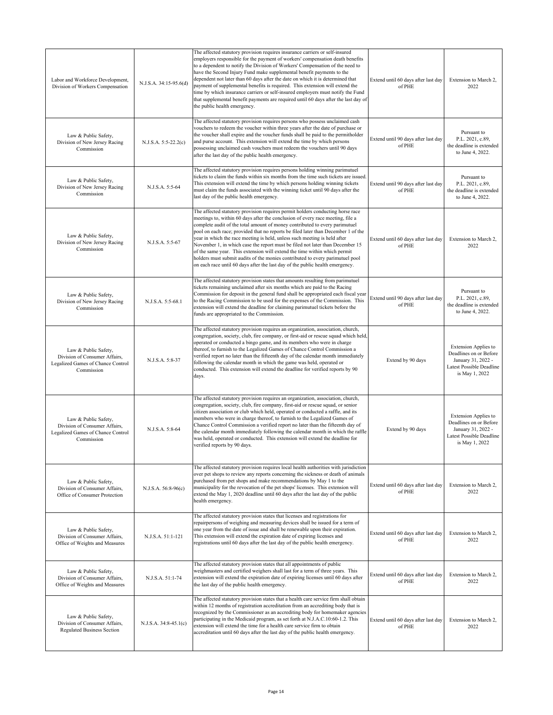| Labor and Workforce Development,<br>Division of Workers Compensation                                     | N.J.S.A. 34:15-95.6(d) | The affected statutory provision requires insurance carriers or self-insured<br>employers responsible for the payment of workers' compensation death benefits<br>to a dependent to notify the Division of Workers' Compensation of the need to<br>have the Second Injury Fund make supplemental benefit payments to the<br>dependent not later than 60 days after the date on which it is determined that<br>payment of supplemental benefits is required. This extension will extend the<br>time by which insurance carriers or self-insured employers must notify the Fund<br>that supplemental benefit payments are required until 60 days after the last day of<br>the public health emergency.                                               | Extend until 60 days after last day<br>of PHE | Extension to March 2,<br>2022                                                                                             |
|----------------------------------------------------------------------------------------------------------|------------------------|---------------------------------------------------------------------------------------------------------------------------------------------------------------------------------------------------------------------------------------------------------------------------------------------------------------------------------------------------------------------------------------------------------------------------------------------------------------------------------------------------------------------------------------------------------------------------------------------------------------------------------------------------------------------------------------------------------------------------------------------------|-----------------------------------------------|---------------------------------------------------------------------------------------------------------------------------|
| Law & Public Safety,<br>Division of New Jersey Racing<br>Commission                                      | N.J.S.A. 5:5-22.2(c)   | The affected statutory provision requires persons who possess unclaimed cash<br>vouchers to redeem the voucher within three years after the date of purchase or<br>the voucher shall expire and the voucher funds shall be paid to the permitholder<br>and purse account. This extension will extend the time by which persons<br>possessing unclaimed cash vouchers must redeem the vouchers until 90 days<br>after the last day of the public health emergency.                                                                                                                                                                                                                                                                                 | Extend until 90 days after last day<br>of PHE | Pursuant to<br>P.L. 2021, c.89,<br>the deadline is extended<br>to June 4, 2022.                                           |
| Law & Public Safety,<br>Division of New Jersey Racing<br>Commission                                      | N.J.S.A. 5:5-64        | The affected statutory provision requires persons holding winning parimutuel<br>tickets to claim the funds within six months from the time such tickets are issued.<br>This extension will extend the time by which persons holding winning tickets<br>must claim the funds associated with the winning ticket until 90 days after the<br>last day of the public health emergency.                                                                                                                                                                                                                                                                                                                                                                | Extend until 90 days after last day<br>of PHE | Pursuant to<br>P.L. 2021, c.89,<br>the deadline is extended<br>to June 4, 2022.                                           |
| Law & Public Safety,<br>Division of New Jersey Racing<br>Commission                                      | N.J.S.A. 5:5-67        | The affected statutory provision requires permit holders conducting horse race<br>meetings to, within 60 days after the conclusion of every race meeting, file a<br>complete audit of the total amount of money contributed to every parimutuel<br>pool on each race; provided that no reports be filed later than December 1 of the<br>year in which the race meeting is held, unless such meeting is held after<br>November 1, in which case the report must be filed not later than December 15<br>of the same year. This extension will extend the time within which permit<br>holders must submit audits of the monies contributed to every parimutuel pool<br>on each race until 60 days after the last day of the public health emergency. | Extend until 60 days after last day<br>of PHE | Extension to March 2,<br>2022                                                                                             |
| Law & Public Safety,<br>Division of New Jersey Racing<br>Commission                                      | N.J.S.A. 5:5-68.1      | The affected statutory provision states that amounts resulting from parimutuel<br>tickets remaining unclaimed after six months which are paid to the Racing<br>Commission for deposit in the general fund shall be appropriated each fiscal year<br>to the Racing Commission to be used for the expenses of the Commission. This<br>extension will extend the deadline for claiming parimutuel tickets before the<br>funds are appropriated to the Commission.                                                                                                                                                                                                                                                                                    | Extend until 90 days after last day<br>of PHE | Pursuant to<br>P.L. 2021, c.89.<br>the deadline is extended<br>to June 4, 2022.                                           |
| Law & Public Safety,<br>Division of Consumer Affairs,<br>Legalized Games of Chance Control<br>Commission | N.J.S.A. 5:8-37        | The affected statutory provision requires an organization, association, church,<br>congregation, society, club, fire company, or first-aid or rescue squad which held,<br>operated or conducted a bingo game, and its members who were in charge<br>thereof, to furnish to the Legalized Games of Chance Control Commission a<br>verified report no later than the fifteenth day of the calendar month immediately<br>following the calendar month in which the game was held, operated or<br>conducted. This extension will extend the deadline for verified reports by 90<br>days.                                                                                                                                                              | Extend by 90 days                             | <b>Extension Applies to</b><br>Deadlines on or Before<br>January 31, 2022 -<br>Latest Possible Deadline<br>is May 1, 2022 |
| Law & Public Safety,<br>Division of Consumer Affairs.<br>Legalized Games of Chance Control<br>Commission | N.J.S.A. 5:8-64        | The affected statutory provision requires an organization, association, church,<br>congregation, society, club, fire company, first-aid or rescue squad, or senior<br>citizen association or club which held, operated or conducted a raffle, and its<br>members who were in charge thereof, to furnish to the Legalized Games of<br>Chance Control Commission a verified report no later than the fifteenth day of<br>the calendar month immediately following the calendar month in which the raffle<br>was held, operated or conducted. This extension will extend the deadline for<br>verified reports by 90 days.                                                                                                                            | Extend by 90 days                             | <b>Extension Applies to</b><br>Deadlines on or Before<br>January 31, 2022 -<br>Latest Possible Deadline<br>is May 1, 2022 |
| Law & Public Safety,<br>Division of Consumer Affairs,<br>Office of Consumer Protection                   | N.J.S.A. 56:8-96(c)    | The affected statutory provision requires local health authorities with jurisdiction<br>over pet shops to review any reports concerning the sickness or death of animals<br>purchased from pet shops and make recommendations by May 1 to the<br>municipality for the revocation of the pet shops' licenses. This extension will<br>extend the May 1, 2020 deadline until 60 days after the last day of the public<br>health emergency.                                                                                                                                                                                                                                                                                                           | Extend until 60 days after last day<br>of PHE | Extension to March 2,<br>2022                                                                                             |
| Law & Public Safety,<br>Division of Consumer Affairs,<br>Office of Weights and Measures                  | N.J.S.A. 51:1-121      | The affected statutory provision states that licenses and registrations for<br>repairpersons of weighing and measuring devices shall be issued for a term of<br>one year from the date of issue and shall be renewable upon their expiration.<br>This extension will extend the expiration date of expiring licenses and<br>registrations until 60 days after the last day of the public health emergency.                                                                                                                                                                                                                                                                                                                                        | Extend until 60 days after last day<br>of PHE | Extension to March 2,<br>2022                                                                                             |
| Law & Public Safety,<br>Division of Consumer Affairs,<br>Office of Weights and Measures                  | N.J.S.A. 51:1-74       | The affected statutory provision states that all appointments of public<br>weighmasters and certified weighers shall last for a term of three years. This<br>extension will extend the expiration date of expiring licenses until 60 days after<br>the last day of the public health emergency.                                                                                                                                                                                                                                                                                                                                                                                                                                                   | Extend until 60 days after last day<br>of PHE | Extension to March 2,<br>2022                                                                                             |
| Law & Public Safety,<br>Division of Consumer Affairs,<br>Regulated Business Section                      | N.J.S.A. 34:8-45.1(c)  | The affected statutory provision states that a health care service firm shall obtain<br>within 12 months of registration accreditation from an accrediting body that is<br>recognized by the Commissioner as an accrediting body for homemaker agencies<br>participating in the Medicaid program, as set forth at N.J.A.C.10:60-1.2. This<br>extension will extend the time for a health care service firm to obtain<br>accreditation until 60 days after the last day of the public health emergency.                                                                                                                                                                                                                                            | Extend until 60 days after last day<br>of PHE | Extension to March 2,<br>2022                                                                                             |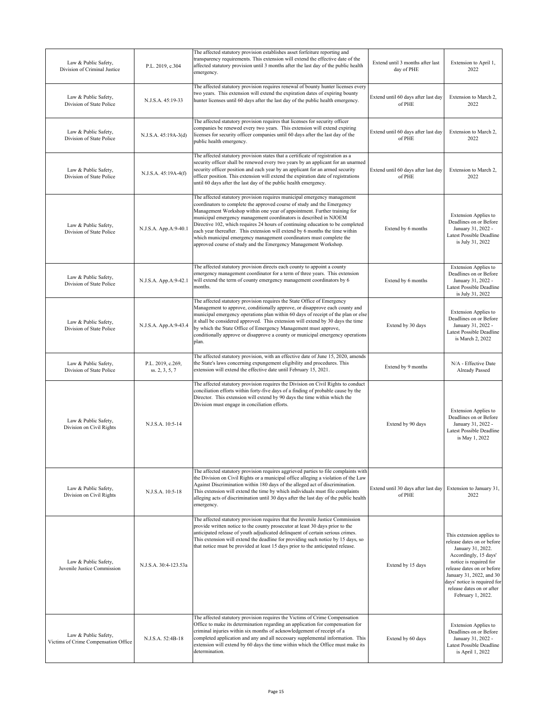| Law & Public Safety,<br>Division of Criminal Justice         | P.L. 2019, c.304                    | The affected statutory provision establishes asset forfeiture reporting and<br>transparency requirements. This extension will extend the effective date of the<br>affected statutory provision until 3 months after the last day of the public health<br>emergency.                                                                                                                                                                                                                                                                                                                                              | Extend until 3 months after last<br>day of PHE | Extension to April 1,<br>2022                                                                                                                                                                                                                                               |
|--------------------------------------------------------------|-------------------------------------|------------------------------------------------------------------------------------------------------------------------------------------------------------------------------------------------------------------------------------------------------------------------------------------------------------------------------------------------------------------------------------------------------------------------------------------------------------------------------------------------------------------------------------------------------------------------------------------------------------------|------------------------------------------------|-----------------------------------------------------------------------------------------------------------------------------------------------------------------------------------------------------------------------------------------------------------------------------|
| Law & Public Safety,<br>Division of State Police             | N.J.S.A. 45:19-33                   | The affected statutory provision requires renewal of bounty hunter licenses every<br>two years. This extension will extend the expiration dates of expiring bounty<br>hunter licenses until 60 days after the last day of the public health emergency.                                                                                                                                                                                                                                                                                                                                                           | Extend until 60 days after last day<br>of PHE  | Extension to March 2,<br>2022                                                                                                                                                                                                                                               |
| Law & Public Safety,<br>Division of State Police             | N.J.S.A. 45:19A-3(d)                | The affected statutory provision requires that licenses for security officer<br>companies be renewed every two years. This extension will extend expiring<br>licenses for security officer companies until 60 days after the last day of the<br>public health emergency.                                                                                                                                                                                                                                                                                                                                         | Extend until 60 days after last day<br>of PHE  | Extension to March 2,<br>2022                                                                                                                                                                                                                                               |
| Law & Public Safety,<br>Division of State Police             | N.J.S.A. 45:19A-4(f)                | The affected statutory provision states that a certificate of registration as a<br>security officer shall be renewed every two years by an applicant for an unarmed<br>security officer position and each year by an applicant for an armed security<br>officer position. This extension will extend the expiration date of registrations<br>until 60 days after the last day of the public health emergency.                                                                                                                                                                                                    | Extend until 60 days after last day<br>of PHE  | Extension to March 2.<br>2022                                                                                                                                                                                                                                               |
| Law & Public Safety,<br>Division of State Police             | N.J.S.A. App.A:9-40.1               | The affected statutory provision requires municipal emergency management<br>coordinators to complete the approved course of study and the Emergency<br>Management Workshop within one year of appointment. Further training for<br>municipal emergency management coordinators is described in NJOEM<br>Directive 102, which requires 24 hours of continuing education to be completed<br>each year thereafter. This extension will extend by 6 months the time within<br>which municipal emergency management coordinators must complete the<br>approved course of study and the Emergency Management Workshop. | Extend by 6 months                             | <b>Extension Applies to</b><br>Deadlines on or Before<br>January 31, 2022 -<br>Latest Possible Deadline<br>is July 31, 2022                                                                                                                                                 |
| Law & Public Safety,<br>Division of State Police             | N.J.S.A. App.A:9-42.1               | The affected statutory provision directs each county to appoint a county<br>emergency management coordinator for a term of three years. This extension<br>will extend the term of county emergency management coordinators by 6<br>months.                                                                                                                                                                                                                                                                                                                                                                       | Extend by 6 months                             | Extension Applies to<br>Deadlines on or Before<br>January 31, 2022 -<br>Latest Possible Deadline<br>is July 31, 2022                                                                                                                                                        |
| Law & Public Safety,<br>Division of State Police             | N.J.S.A. App.A:9-43.4               | The affected statutory provision requires the State Office of Emergency<br>Management to approve, conditionally approve, or disapprove each county and<br>municipal emergency operations plan within 60 days of receipt of the plan or else<br>it shall be considered approved. This extension will extend by 30 days the time<br>by which the State Office of Emergency Management must approve,<br>conditionally approve or disapprove a county or municipal emergency operations<br>plan.                                                                                                                     | Extend by 30 days                              | <b>Extension Applies to</b><br>Deadlines on or Before<br>January 31, 2022 -<br>Latest Possible Deadline<br>is March 2, 2022                                                                                                                                                 |
| Law & Public Safety,<br>Division of State Police             | P.L. 2019, c.269,<br>ss. 2, 3, 5, 7 | The affected statutory provision, with an effective date of June 15, 2020, amends<br>the State's laws concerning expungement eligibility and procedures. This<br>extension will extend the effective date until February 15, 2021.                                                                                                                                                                                                                                                                                                                                                                               | Extend by 9 months                             | N/A - Effective Date<br>Already Passed                                                                                                                                                                                                                                      |
| Law & Public Safety,<br>Division on Civil Rights             | N.J.S.A. 10:5-14                    | The affected statutory provision requires the Division on Civil Rights to conduct<br>conciliation efforts within forty-five days of a finding of probable cause by the<br>Director. This extension will extend by 90 days the time within which the<br>Division must engage in conciliation efforts.                                                                                                                                                                                                                                                                                                             | Extend by 90 days                              | <b>Extension Applies to</b><br>Deadlines on or Before<br>January 31, 2022 -<br>Latest Possible Deadline<br>is May 1, 2022                                                                                                                                                   |
| Law & Public Safety,<br>Division on Civil Rights             | N.J.S.A. 10:5-18                    | The affected statutory provision requires aggrieved parties to file complaints with<br>the Division on Civil Rights or a municipal office alleging a violation of the Law<br>Against Discrimination within 180 days of the alleged act of discrimination.<br>This extension will extend the time by which individuals must file complaints<br>alleging acts of discrimination until 30 days after the last day of the public health<br>emergency.                                                                                                                                                                | Extend until 30 days after last day<br>of PHE  | Extension to January 31,<br>2022                                                                                                                                                                                                                                            |
| Law & Public Safety,<br>Juvenile Justice Commission          | N.J.S.A. 30:4-123.53a               | The affected statutory provision requires that the Juvenile Justice Commission<br>provide written notice to the county prosecutor at least 30 days prior to the<br>anticipated release of youth adjudicated delinquent of certain serious crimes.<br>This extension will extend the deadline for providing such notice by 15 days, so<br>that notice must be provided at least 15 days prior to the anticipated release.                                                                                                                                                                                         | Extend by 15 days                              | This extension applies to<br>release dates on or before<br>January 31, 2022.<br>Accordingly, 15 days'<br>notice is required for<br>release dates on or before<br>January 31, 2022, and 30<br>days' notice is required for<br>release dates on or after<br>February 1, 2022. |
| Law & Public Safety,<br>Victims of Crime Compensation Office | N.J.S.A. 52:4B-18                   | The affected statutory provision requires the Victims of Crime Compensation<br>Office to make its determination regarding an application for compensation for<br>criminal injuries within six months of acknowledgement of receipt of a<br>completed application and any and all necessary supplemental information. This<br>extension will extend by 60 days the time within which the Office must make its<br>determination.                                                                                                                                                                                   | Extend by 60 days                              | <b>Extension Applies to</b><br>Deadlines on or Before<br>January 31, 2022 -<br>Latest Possible Deadline<br>is April 1, 2022                                                                                                                                                 |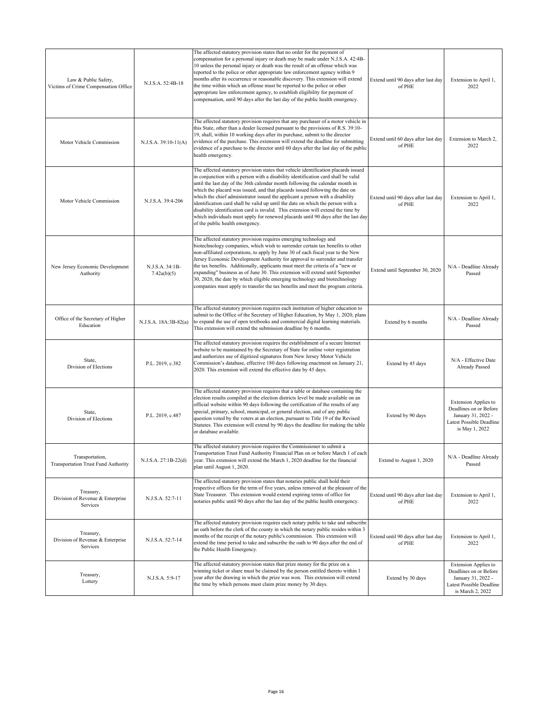| Law & Public Safety,<br>Victims of Crime Compensation Office  | N.J.S.A. 52:4B-18              | The affected statutory provision states that no order for the payment of<br>compensation for a personal injury or death may be made under N.J.S.A. 42:4B-<br>10 unless the personal injury or death was the result of an offense which was<br>reported to the police or other appropriate law enforcement agency within 9<br>months after its occurrence or reasonable discovery. This extension will extend<br>the time within which an offense must be reported to the police or other<br>appropriate law enforcement agency, to establish eligibility for payment of<br>compensation, until 90 days after the last day of the public health emergency.                                                                   | Extend until 90 days after last day<br>of PHE | Extension to April 1,<br>2022                                                                                               |
|---------------------------------------------------------------|--------------------------------|-----------------------------------------------------------------------------------------------------------------------------------------------------------------------------------------------------------------------------------------------------------------------------------------------------------------------------------------------------------------------------------------------------------------------------------------------------------------------------------------------------------------------------------------------------------------------------------------------------------------------------------------------------------------------------------------------------------------------------|-----------------------------------------------|-----------------------------------------------------------------------------------------------------------------------------|
| Motor Vehicle Commission                                      | N.J.S.A. 39:10-11(A)           | The affected statutory provision requires that any purchaser of a motor vehicle in<br>this State, other than a dealer licensed pursuant to the provisions of R.S. 39:10-<br>19, shall, within 10 working days after its purchase, submit to the director<br>evidence of the purchase. This extension will extend the deadline for submitting<br>evidence of a purchase to the director until 60 days after the last day of the public<br>health emergency.                                                                                                                                                                                                                                                                  | Extend until 60 days after last day<br>of PHE | Extension to March 2.<br>2022                                                                                               |
| Motor Vehicle Commission                                      | N.J.S.A. 39:4-206              | The affected statutory provision states that vehicle identification placards issued<br>in conjunction with a person with a disability identification card shall be valid<br>until the last day of the 36th calendar month following the calendar month in<br>which the placard was issued, and that placards issued following the date on<br>which the chief administrator issued the applicant a person with a disability<br>identification card shall be valid up until the date on which the person with a<br>disability identification card is invalid. This extension will extend the time by<br>which individuals must apply for renewed placards until 90 days after the last day<br>of the public health emergency. | Extend until 90 days after last day<br>of PHE | Extension to April 1,<br>2022                                                                                               |
| New Jersey Economic Development<br>Authority                  | N.J.S.A. 34:1B-<br>7.42a(b)(5) | The affected statutory provision requires emerging technology and<br>biotechnology companies, which wish to surrender certain tax benefits to other<br>non-affiliated corporations, to apply by June 30 of each fiscal year to the New<br>Jersey Economic Development Authority for approval to surrender and transfer<br>the tax benefits. Additionally, applicants must meet the criteria of a "new or<br>expanding" business as of June 30. This extension will extend until September<br>30, 2020, the date by which eligible emerging technology and biotechnology<br>companies must apply to transfer the tax benefits and meet the program criteria.                                                                 | Extend until September 30, 2020               | N/A - Deadline Already<br>Passed                                                                                            |
| Office of the Secretary of Higher<br>Education                | N.J.S.A. 18A:3B-82(a)          | The affected statutory provision requires each institution of higher education to<br>submit to the Office of the Secretary of Higher Education, by May 1, 2020, plans<br>to expand the use of open textbooks and commercial digital learning materials.<br>This extension will extend the submission deadline by 6 months.                                                                                                                                                                                                                                                                                                                                                                                                  | Extend by 6 months                            | N/A - Deadline Already<br>Passed                                                                                            |
| State,<br>Division of Elections                               | P.L. 2019, c.382               | The affected statutory provision requires the establishment of a secure Internet<br>website to be maintained by the Secretary of State for online voter registration<br>and authorizes use of digitized signatures from New Jersey Motor Vehicle<br>Commission's database, effective 180 days following enactment on January 21,<br>2020. This extension will extend the effective date by 45 days.                                                                                                                                                                                                                                                                                                                         | Extend by 45 days                             | N/A - Effective Date<br>Already Passed                                                                                      |
| State,<br>Division of Elections                               | P.L. 2019, c.487               | The affected statutory provision requires that a table or database containing the<br>election results compiled at the election districts level be made available on an<br>official website within 90 days following the certification of the results of any<br>special, primary, school, municipal, or general election, and of any public<br>question voted by the voters at an election, pursuant to Title 19 of the Revised<br>Statutes. This extension will extend by 90 days the deadline for making the table<br>or database available.                                                                                                                                                                               | Extend by 90 days                             | <b>Extension Applies to</b><br>Deadlines on or Before<br>January 31, 2022 -<br>Latest Possible Deadline<br>is May 1, 2022   |
| Transportation,<br><b>Transportation Trust Fund Authority</b> | N.J.S.A. 27:1B-22(d)           | The affected statutory provision requires the Commissioner to submit a<br>Transportation Trust Fund Authority Financial Plan on or before March 1 of each<br>year. This extension will extend the March 1, 2020 deadline for the financial<br>plan until August 1, 2020.                                                                                                                                                                                                                                                                                                                                                                                                                                                    | Extend to August 1, 2020                      | N/A - Deadline Already<br>Passed                                                                                            |
| Treasury,<br>Division of Revenue & Enterprise<br>Services     | N.J.S.A. 52:7-11               | The affected statutory provision states that notaries public shall hold their<br>respective offices for the term of five years, unless removed at the pleasure of the<br>State Treasurer. This extension would extend expiring terms of office for<br>notaries public until 90 days after the last day of the public health emergency.                                                                                                                                                                                                                                                                                                                                                                                      | Extend until 90 days after last day<br>of PHE | Extension to April 1,<br>2022                                                                                               |
| Treasury,<br>Division of Revenue & Enterprise<br>Services     | N.J.S.A. 52:7-14               | The affected statutory provision requires each notary public to take and subscribe<br>an oath before the clerk of the county in which the notary public resides within 3<br>months of the receipt of the notary public's commission. This extension will<br>extend the time period to take and subscribe the oath to 90 days after the end of<br>the Public Health Emergency.                                                                                                                                                                                                                                                                                                                                               | Extend until 90 days after last day<br>of PHE | Extension to April 1,<br>2022                                                                                               |
| Treasury,<br>Lottery                                          | N.J.S.A. 5:9-17                | The affected statutory provision states that prize money for the prize on a<br>winning ticket or share must be claimed by the person entitled thereto within 1<br>year after the drawing in which the prize was won. This extension will extend<br>the time by which persons must claim prize money by 30 days.                                                                                                                                                                                                                                                                                                                                                                                                             | Extend by 30 days                             | <b>Extension Applies to</b><br>Deadlines on or Before<br>January 31, 2022 -<br>Latest Possible Deadline<br>is March 2, 2022 |